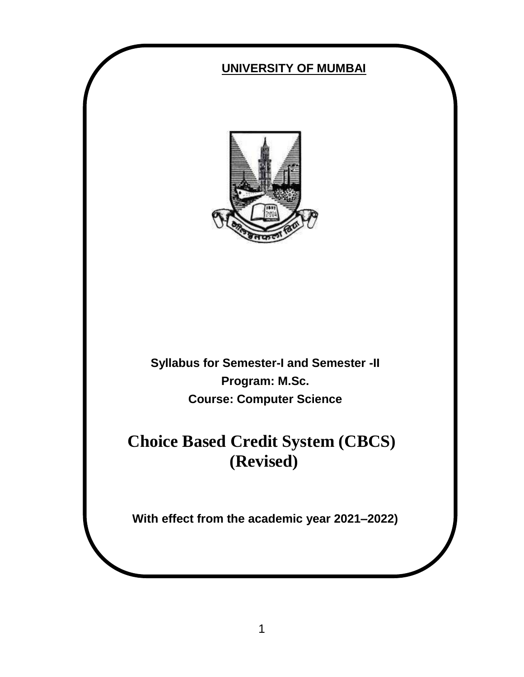# **UNIVERSITY OF MUMBAI Syllabus for Semester-I and Semester -II Program: M.Sc. Course: Computer Science Choice Based Credit System (CBCS) (Revised) With effect from the academic year 2021–2022)**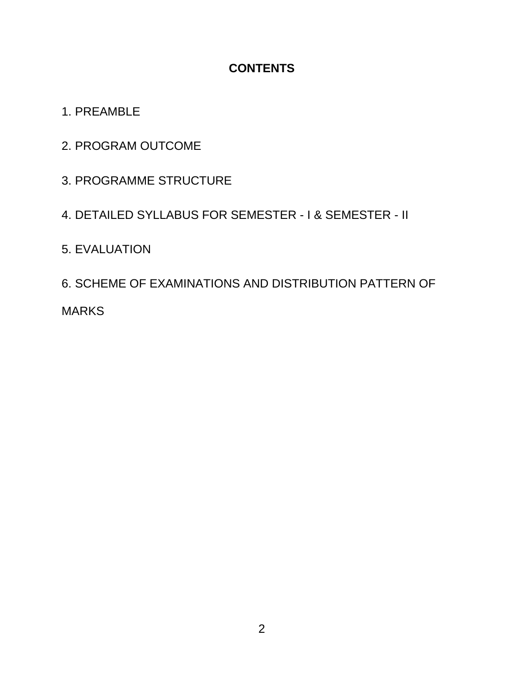#### **CONTENTS**

# 1. PREAMBLE

- 2. PROGRAM OUTCOME
- 3. PROGRAMME STRUCTURE

# 4. DETAILED SYLLABUS FOR SEMESTER - I & SEMESTER - II

# 5. EVALUATION

6. SCHEME OF EXAMINATIONS AND DISTRIBUTION PATTERN OF MARKS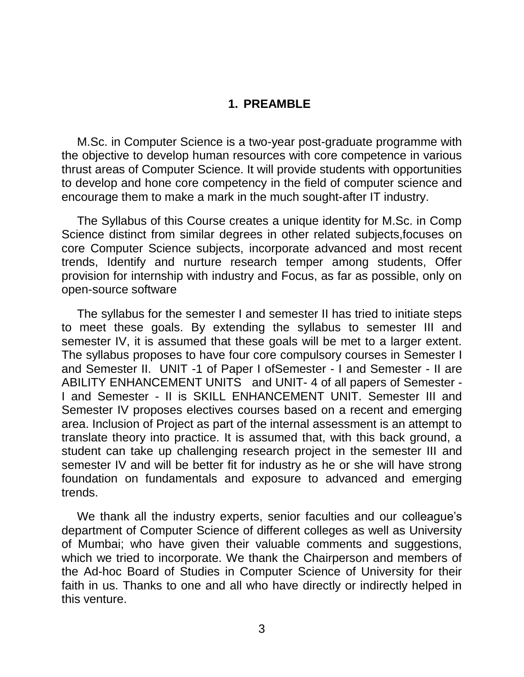#### **1. PREAMBLE**

M.Sc. in Computer Science is a two-year post-graduate programme with the objective to develop human resources with core competence in various thrust areas of Computer Science. It will provide students with opportunities to develop and hone core competency in the field of computer science and encourage them to make a mark in the much sought-after IT industry.

The Syllabus of this Course creates a unique identity for M.Sc. in Comp Science distinct from similar degrees in other related subjects,focuses on core Computer Science subjects, incorporate advanced and most recent trends, Identify and nurture research temper among students, Offer provision for internship with industry and Focus, as far as possible, only on open-source software

The syllabus for the semester I and semester II has tried to initiate steps to meet these goals. By extending the syllabus to semester III and semester IV, it is assumed that these goals will be met to a larger extent. The syllabus proposes to have four core compulsory courses in Semester I and Semester II. UNIT -1 of Paper I ofSemester - I and Semester - II are ABILITY ENHANCEMENT UNITS and UNIT- 4 of all papers of Semester - I and Semester - II is SKILL ENHANCEMENT UNIT. Semester III and Semester IV proposes electives courses based on a recent and emerging area. Inclusion of Project as part of the internal assessment is an attempt to translate theory into practice. It is assumed that, with this back ground, a student can take up challenging research project in the semester III and semester IV and will be better fit for industry as he or she will have strong foundation on fundamentals and exposure to advanced and emerging trends.

We thank all the industry experts, senior faculties and our colleague's department of Computer Science of different colleges as well as University of Mumbai; who have given their valuable comments and suggestions, which we tried to incorporate. We thank the Chairperson and members of the Ad-hoc Board of Studies in Computer Science of University for their faith in us. Thanks to one and all who have directly or indirectly helped in this venture.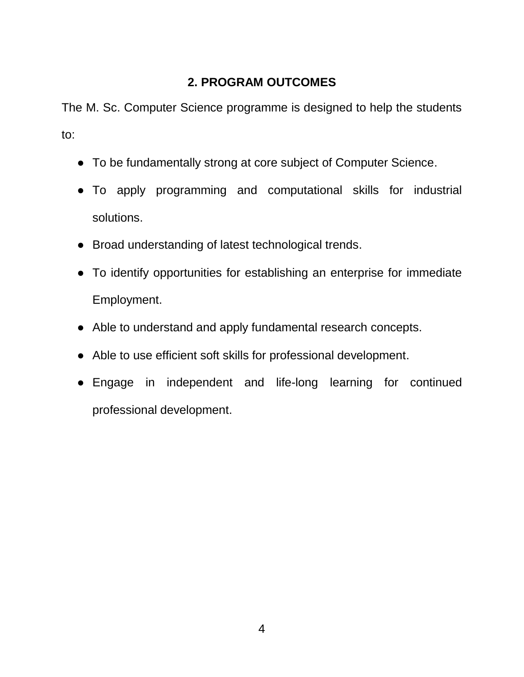# **2. PROGRAM OUTCOMES**

The M. Sc. Computer Science programme is designed to help the students to:

- To be fundamentally strong at core subject of Computer Science.
- To apply programming and computational skills for industrial solutions.
- Broad understanding of latest technological trends.
- To identify opportunities for establishing an enterprise for immediate Employment.
- Able to understand and apply fundamental research concepts.
- Able to use efficient soft skills for professional development.
- Engage in independent and life-long learning for continued professional development.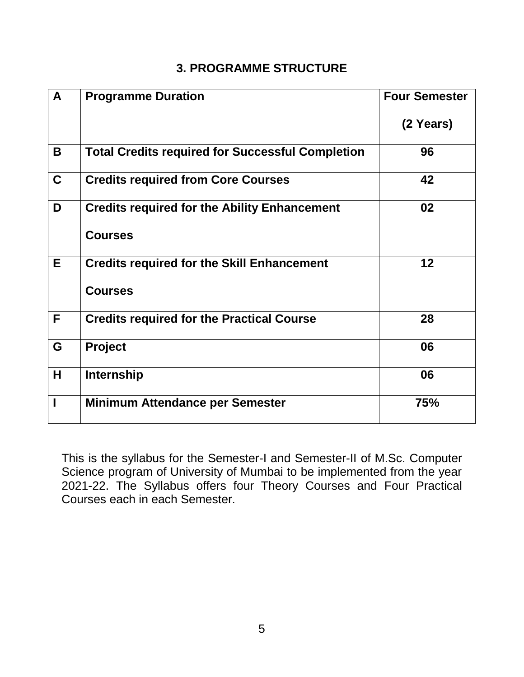# **3. PROGRAMME STRUCTURE**

| $\mathbf{A}$ | <b>Programme Duration</b>                               | <b>Four Semester</b> |
|--------------|---------------------------------------------------------|----------------------|
|              |                                                         | (2 Years)            |
| B            | <b>Total Credits required for Successful Completion</b> | 96                   |
| $\mathbf C$  | <b>Credits required from Core Courses</b>               | 42                   |
| D            | <b>Credits required for the Ability Enhancement</b>     | 02                   |
|              | <b>Courses</b>                                          |                      |
| E.           | <b>Credits required for the Skill Enhancement</b>       | 12                   |
|              | <b>Courses</b>                                          |                      |
| F            | <b>Credits required for the Practical Course</b>        | 28                   |
| G            | <b>Project</b>                                          | 06                   |
| Н            | <b>Internship</b>                                       | 06                   |
| ı            | <b>Minimum Attendance per Semester</b>                  | 75%                  |

This is the syllabus for the Semester-I and Semester-II of M.Sc. Computer Science program of University of Mumbai to be implemented from the year 2021-22. The Syllabus offers four Theory Courses and Four Practical Courses each in each Semester.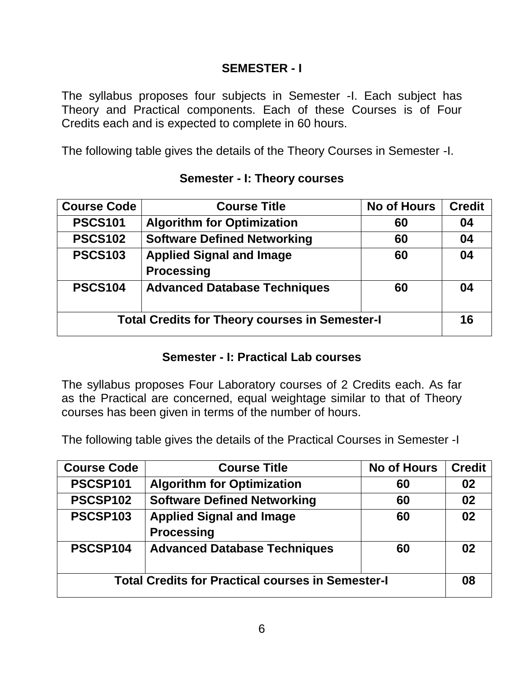#### **SEMESTER - I**

The syllabus proposes four subjects in Semester -I. Each subject has Theory and Practical components. Each of these Courses is of Four Credits each and is expected to complete in 60 hours.

The following table gives the details of the Theory Courses in Semester -I.

| <b>Course Code</b>                                    | <b>Course Title</b>                 | <b>No of Hours</b> | <b>Credit</b> |
|-------------------------------------------------------|-------------------------------------|--------------------|---------------|
| <b>PSCS101</b>                                        | <b>Algorithm for Optimization</b>   | 60                 | 04            |
| <b>PSCS102</b>                                        | <b>Software Defined Networking</b>  | 60                 | 04            |
| <b>PSCS103</b>                                        | <b>Applied Signal and Image</b>     | 60                 | 04            |
|                                                       | <b>Processing</b>                   |                    |               |
| <b>PSCS104</b>                                        | <b>Advanced Database Techniques</b> | 60                 | 04            |
| <b>Total Credits for Theory courses in Semester-I</b> |                                     | 16                 |               |

#### **Semester - I: Theory courses**

# **Semester - I: Practical Lab courses**

The syllabus proposes Four Laboratory courses of 2 Credits each. As far as the Practical are concerned, equal weightage similar to that of Theory courses has been given in terms of the number of hours.

The following table gives the details of the Practical Courses in Semester -I

| <b>Course Code</b>                                       | <b>Course Title</b>                 | <b>No of Hours</b> | <b>Credit</b> |
|----------------------------------------------------------|-------------------------------------|--------------------|---------------|
| PSCSP101                                                 | <b>Algorithm for Optimization</b>   | 60                 | 02            |
| PSCSP102                                                 | <b>Software Defined Networking</b>  | 60                 | 02            |
| <b>PSCSP103</b>                                          | <b>Applied Signal and Image</b>     | 60                 | 02            |
|                                                          | <b>Processing</b>                   |                    |               |
| PSCSP104                                                 | <b>Advanced Database Techniques</b> | 60                 | 02            |
|                                                          |                                     |                    |               |
| <b>Total Credits for Practical courses in Semester-I</b> |                                     | 08                 |               |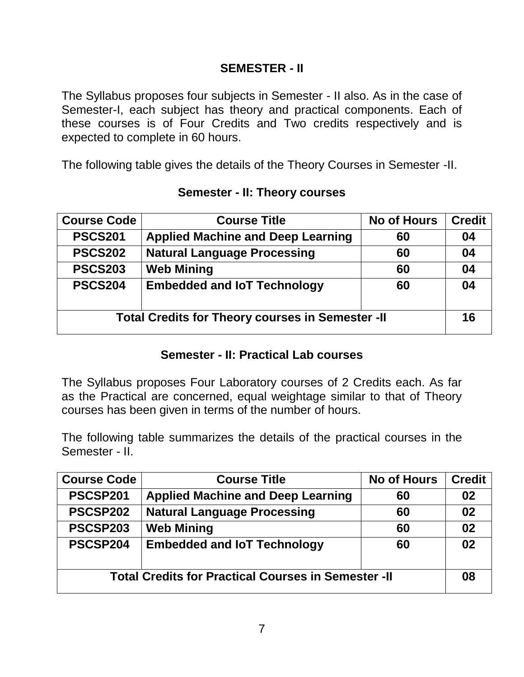#### **SEMESTER - II**

The Syllabus proposes four subjects in Semester - II also. As in the case of Semester-I, each subject has theory and practical components. Each of these courses is of Four Credits and Two credits respectively and is expected to complete in 60 hours.

The following table gives the details of the Theory Courses in Semester -II.

| <b>Course Code</b>                                      | <b>Course Title</b>                      | <b>No of Hours</b> | <b>Credit</b> |
|---------------------------------------------------------|------------------------------------------|--------------------|---------------|
| <b>PSCS201</b>                                          | <b>Applied Machine and Deep Learning</b> | 60                 | 04            |
| <b>PSCS202</b>                                          | <b>Natural Language Processing</b>       | 60                 | 04            |
| <b>PSCS203</b>                                          | <b>Web Mining</b>                        | 60                 | 04            |
| <b>PSCS204</b>                                          | <b>Embedded and IoT Technology</b>       | 60                 | 04            |
| <b>Total Credits for Theory courses in Semester -II</b> |                                          | 16                 |               |

#### **Semester - II: Theory courses**

#### **Semester - II: Practical Lab courses**

The Syllabus proposes Four Laboratory courses of 2 Credits each. As far as the Practical are concerned, equal weightage similar to that of Theory courses has been given in terms of the number of hours.

The following table summarizes the details of the practical courses in the Semester - II.

| <b>Course Code</b>                                         | <b>Course Title</b>                      | <b>No of Hours</b> | <b>Credit</b> |
|------------------------------------------------------------|------------------------------------------|--------------------|---------------|
| PSCSP201                                                   | <b>Applied Machine and Deep Learning</b> | 60                 | 02            |
| PSCSP202                                                   | <b>Natural Language Processing</b>       | 60                 | 02            |
| PSCSP203                                                   | <b>Web Mining</b>                        | 60                 | 02            |
| PSCSP204                                                   | <b>Embedded and IoT Technology</b>       | 60                 | 02            |
| <b>Total Credits for Practical Courses in Semester -II</b> |                                          |                    | 08            |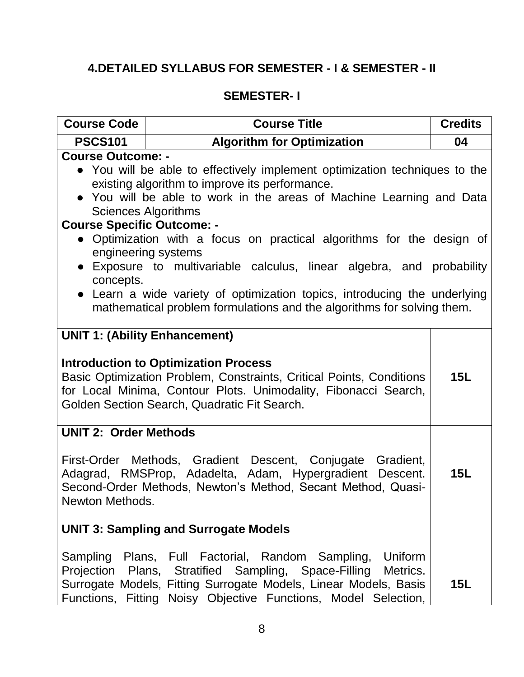# **4.DETAILED SYLLABUS FOR SEMESTER - I & SEMESTER - II**

#### **SEMESTER- I**

| <b>Course Code</b>                                                                                                                                                                                                                                                                                                                                                                                                                                                                                                                                                                                                                               | <b>Course Title</b>                                                                                                                                                                                                                                                   | <b>Credits</b> |
|--------------------------------------------------------------------------------------------------------------------------------------------------------------------------------------------------------------------------------------------------------------------------------------------------------------------------------------------------------------------------------------------------------------------------------------------------------------------------------------------------------------------------------------------------------------------------------------------------------------------------------------------------|-----------------------------------------------------------------------------------------------------------------------------------------------------------------------------------------------------------------------------------------------------------------------|----------------|
| <b>Algorithm for Optimization</b><br><b>PSCS101</b>                                                                                                                                                                                                                                                                                                                                                                                                                                                                                                                                                                                              |                                                                                                                                                                                                                                                                       | 04             |
| <b>Course Outcome: -</b><br>• You will be able to effectively implement optimization techniques to the<br>existing algorithm to improve its performance.<br>• You will be able to work in the areas of Machine Learning and Data<br><b>Sciences Algorithms</b><br><b>Course Specific Outcome: -</b><br>• Optimization with a focus on practical algorithms for the design of<br>engineering systems<br>• Exposure to multivariable calculus, linear algebra, and probability<br>concepts.<br>• Learn a wide variety of optimization topics, introducing the underlying<br>mathematical problem formulations and the algorithms for solving them. |                                                                                                                                                                                                                                                                       |                |
| <b>UNIT 1: (Ability Enhancement)</b><br><b>Introduction to Optimization Process</b><br>Basic Optimization Problem, Constraints, Critical Points, Conditions<br>15L<br>for Local Minima, Contour Plots. Unimodality, Fibonacci Search,<br>Golden Section Search, Quadratic Fit Search.                                                                                                                                                                                                                                                                                                                                                            |                                                                                                                                                                                                                                                                       |                |
| <b>UNIT 2: Order Methods</b><br>First-Order Methods, Gradient Descent, Conjugate Gradient,<br>Adagrad, RMSProp, Adadelta, Adam, Hypergradient Descent.<br>15L<br>Second-Order Methods, Newton's Method, Secant Method, Quasi-<br>Newton Methods.                                                                                                                                                                                                                                                                                                                                                                                                 |                                                                                                                                                                                                                                                                       |                |
|                                                                                                                                                                                                                                                                                                                                                                                                                                                                                                                                                                                                                                                  | <b>UNIT 3: Sampling and Surrogate Models</b>                                                                                                                                                                                                                          |                |
|                                                                                                                                                                                                                                                                                                                                                                                                                                                                                                                                                                                                                                                  | Sampling Plans, Full Factorial, Random Sampling,<br>Uniform<br>Projection Plans, Stratified Sampling, Space-Filling<br>Metrics.<br>Surrogate Models, Fitting Surrogate Models, Linear Models, Basis<br>Functions, Fitting Noisy Objective Functions, Model Selection, | 15L            |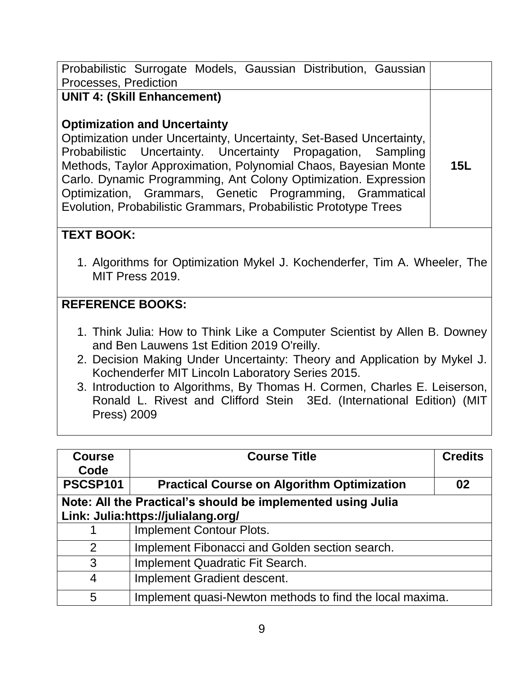| Probabilistic Surrogate Models, Gaussian Distribution, Gaussian<br>Processes, Prediction                                                                                                                                                                                                                                                                                                                                                                                               |            |  |
|----------------------------------------------------------------------------------------------------------------------------------------------------------------------------------------------------------------------------------------------------------------------------------------------------------------------------------------------------------------------------------------------------------------------------------------------------------------------------------------|------------|--|
| <b>UNIT 4: (Skill Enhancement)</b><br><b>Optimization and Uncertainty</b><br>Optimization under Uncertainty, Uncertainty, Set-Based Uncertainty,<br>Probabilistic Uncertainty. Uncertainty Propagation, Sampling<br>Methods, Taylor Approximation, Polynomial Chaos, Bayesian Monte<br>Carlo. Dynamic Programming, Ant Colony Optimization. Expression<br>Optimization, Grammars, Genetic Programming, Grammatical<br>Evolution, Probabilistic Grammars, Probabilistic Prototype Trees | <b>15L</b> |  |
| <b>TEXT BOOK:</b><br>1. Algorithms for Optimization Mykel J. Kochenderfer, Tim A. Wheeler, The<br>MIT Press 2019.                                                                                                                                                                                                                                                                                                                                                                      |            |  |
| <b>REFERENCE BOOKS:</b><br>1. Think Julia: How to Think Like a Computer Scientist by Allen B. Downey<br>and Ben Lauwens 1st Edition 2019 O'reilly.<br>2. Decision Making Under Uncertainty: Theory and Application by Mykel J.<br>Kochenderfer MIT Lincoln Laboratory Series 2015.<br>3. Introduction to Algorithms, By Thomas H. Cormen, Charles E. Leiserson,<br>Ronald L. Rivest and Clifford Stein 3Ed. (International Edition) (MIT<br>Press) 2009                                |            |  |

| <b>Course</b><br>Code | <b>Course Title</b>                                         | <b>Credits</b> |  |
|-----------------------|-------------------------------------------------------------|----------------|--|
| <b>PSCSP101</b>       | <b>Practical Course on Algorithm Optimization</b>           | 02             |  |
|                       | Note: All the Practical's should be implemented using Julia |                |  |
|                       | Link: Julia:https://julialang.org/                          |                |  |
|                       | <b>Implement Contour Plots.</b>                             |                |  |
| 2                     | Implement Fibonacci and Golden section search.              |                |  |
| 3                     | Implement Quadratic Fit Search.                             |                |  |
| 4                     | Implement Gradient descent.                                 |                |  |
| 5                     | Implement quasi-Newton methods to find the local maxima.    |                |  |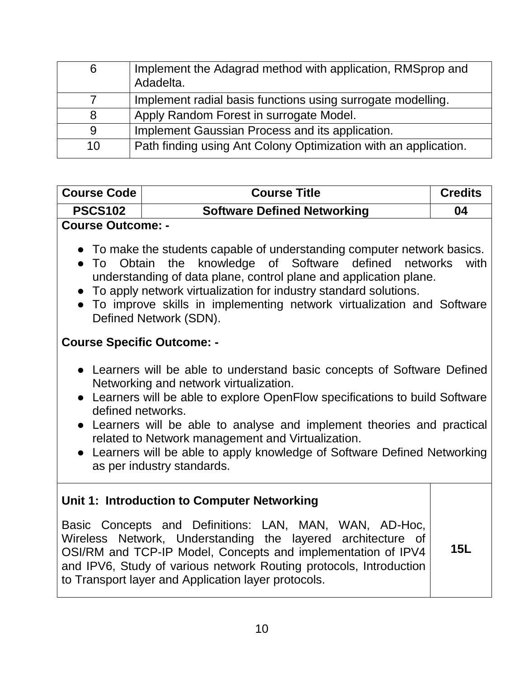| 6  | Implement the Adagrad method with application, RMSprop and<br>Adadelta. |
|----|-------------------------------------------------------------------------|
|    | Implement radial basis functions using surrogate modelling.             |
| 8  | Apply Random Forest in surrogate Model.                                 |
| 9  | Implement Gaussian Process and its application.                         |
| 10 | Path finding using Ant Colony Optimization with an application.         |

# **Course Code Course Title Credits PSCS102 Software Defined Networking 04 Course Outcome: -**

- To make the students capable of understanding computer network basics.
- To Obtain the knowledge of Software defined networks with understanding of data plane, control plane and application plane.
- To apply network virtualization for industry standard solutions.
- To improve skills in implementing network virtualization and Software Defined Network (SDN).

#### **Course Specific Outcome: -**

- Learners will be able to understand basic concepts of Software Defined Networking and network virtualization.
- Learners will be able to explore OpenFlow specifications to build Software defined networks.
- Learners will be able to analyse and implement theories and practical related to Network management and Virtualization.
- Learners will be able to apply knowledge of Software Defined Networking as per industry standards.

#### **Unit 1: Introduction to Computer Networking**

Basic Concepts and Definitions: LAN, MAN, WAN, AD-Hoc, Wireless Network, Understanding the layered architecture of OSI/RM and TCP-IP Model, Concepts and implementation of IPV4 and IPV6, Study of various network Routing protocols, Introduction to Transport layer and Application layer protocols. **15L**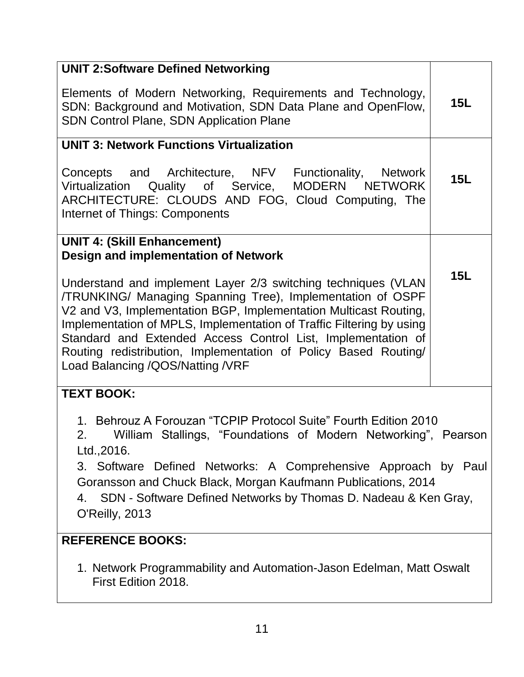| <b>UNIT 2:Software Defined Networking</b>                                                                                                                                                                                                                                                                                                                                                                                                                                                |            |
|------------------------------------------------------------------------------------------------------------------------------------------------------------------------------------------------------------------------------------------------------------------------------------------------------------------------------------------------------------------------------------------------------------------------------------------------------------------------------------------|------------|
| Elements of Modern Networking, Requirements and Technology,<br>SDN: Background and Motivation, SDN Data Plane and OpenFlow,<br><b>SDN Control Plane, SDN Application Plane</b>                                                                                                                                                                                                                                                                                                           | <b>15L</b> |
| <b>UNIT 3: Network Functions Virtualization</b>                                                                                                                                                                                                                                                                                                                                                                                                                                          |            |
| Concepts and Architecture, NFV<br>Functionality, Network<br>Virtualization Quality of Service, MODERN NETWORK<br>ARCHITECTURE: CLOUDS AND FOG, Cloud Computing, The<br>Internet of Things: Components                                                                                                                                                                                                                                                                                    | 15L        |
| <b>UNIT 4: (Skill Enhancement)</b>                                                                                                                                                                                                                                                                                                                                                                                                                                                       |            |
| Design and implementation of Network<br>Understand and implement Layer 2/3 switching techniques (VLAN<br>/TRUNKING/ Managing Spanning Tree), Implementation of OSPF<br>V2 and V3, Implementation BGP, Implementation Multicast Routing,<br>Implementation of MPLS, Implementation of Traffic Filtering by using<br>Standard and Extended Access Control List, Implementation of<br>Routing redistribution, Implementation of Policy Based Routing/<br>Load Balancing / QOS/Natting / VRF | 15L        |
| <b>TEXT BOOK:</b>                                                                                                                                                                                                                                                                                                                                                                                                                                                                        |            |
| 1. Behrouz A Forouzan "TCPIP Protocol Suite" Fourth Edition 2010<br>2.<br>William Stallings, "Foundations of Modern Networking", Pearson<br>Ltd., 2016.<br>3. Software Defined Networks: A Comprehensive Approach by Paul<br>Goransson and Chuck Black, Morgan Kaufmann Publications, 2014<br>SDN - Software Defined Networks by Thomas D. Nadeau & Ken Gray,<br>4.<br>O'Reilly, 2013                                                                                                    |            |
| <b>REFERENCE BOOKS:</b>                                                                                                                                                                                                                                                                                                                                                                                                                                                                  |            |
| 1. Network Programmability and Automation-Jason Edelman, Matt Oswalt<br>First Edition 2018.                                                                                                                                                                                                                                                                                                                                                                                              |            |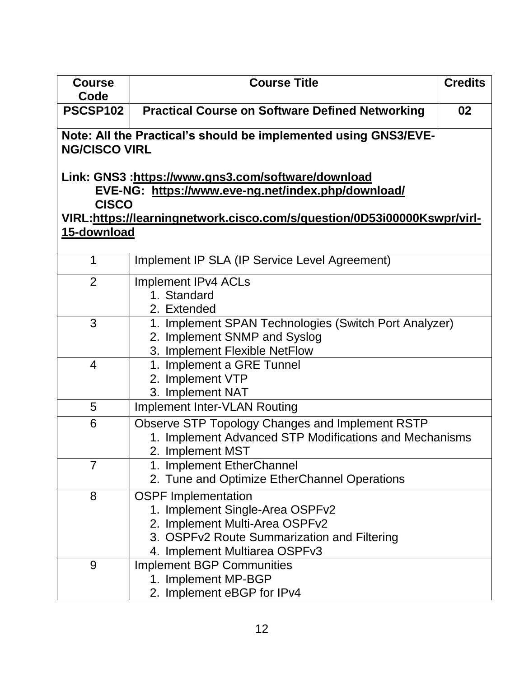| <b>Course</b><br>Code | <b>Course Title</b>                                                                     | <b>Credits</b> |  |
|-----------------------|-----------------------------------------------------------------------------------------|----------------|--|
| PSCSP102              | <b>Practical Course on Software Defined Networking</b>                                  | 02             |  |
|                       | Note: All the Practical's should be implemented using GNS3/EVE-<br><b>NG/CISCO VIRL</b> |                |  |
|                       | Link: GNS3 :https://www.gns3.com/software/download                                      |                |  |
| <b>CISCO</b>          | EVE-NG: https://www.eve-ng.net/index.php/download/                                      |                |  |
|                       | VIRL:https://learningnetwork.cisco.com/s/question/0D53i00000Kswpr/virl-                 |                |  |
| 15-download           |                                                                                         |                |  |
|                       |                                                                                         |                |  |
| 1                     | Implement IP SLA (IP Service Level Agreement)                                           |                |  |
| $\overline{2}$        | <b>Implement IPv4 ACLs</b>                                                              |                |  |
|                       | 1. Standard<br>2. Extended                                                              |                |  |
| 3                     | 1. Implement SPAN Technologies (Switch Port Analyzer)                                   |                |  |
|                       | 2. Implement SNMP and Syslog                                                            |                |  |
|                       | 3. Implement Flexible NetFlow                                                           |                |  |
| $\overline{4}$        | 1. Implement a GRE Tunnel                                                               |                |  |
|                       | 2. Implement VTP                                                                        |                |  |
| 5                     | 3. Implement NAT<br><b>Implement Inter-VLAN Routing</b>                                 |                |  |
| 6                     | Observe STP Topology Changes and Implement RSTP                                         |                |  |
|                       | 1. Implement Advanced STP Modifications and Mechanisms                                  |                |  |
|                       | 2. Implement MST                                                                        |                |  |
| $\overline{7}$        | 1. Implement EtherChannel                                                               |                |  |
|                       | 2. Tune and Optimize EtherChannel Operations                                            |                |  |
| 8                     | <b>OSPF Implementation</b>                                                              |                |  |
|                       | 1. Implement Single-Area OSPFv2<br>2. Implement Multi-Area OSPFv2                       |                |  |
|                       | 3. OSPFv2 Route Summarization and Filtering                                             |                |  |
|                       | 4. Implement Multiarea OSPFv3                                                           |                |  |
| 9                     | <b>Implement BGP Communities</b>                                                        |                |  |
|                       | 1. Implement MP-BGP                                                                     |                |  |
|                       | 2. Implement eBGP for IPv4                                                              |                |  |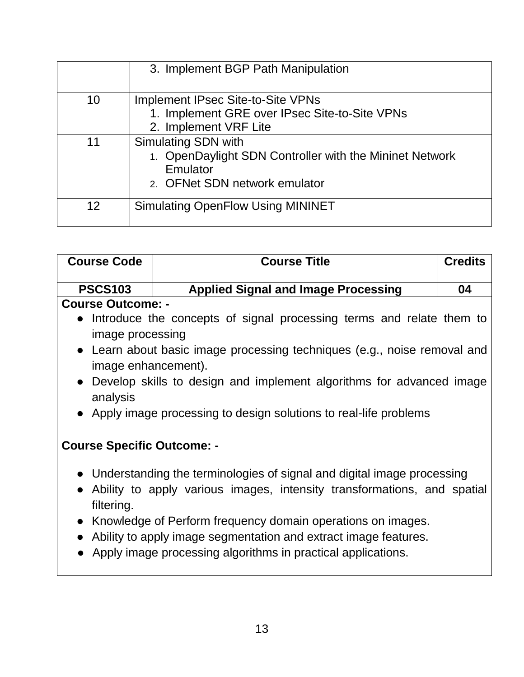|    | 3. Implement BGP Path Manipulation                                                                                                 |
|----|------------------------------------------------------------------------------------------------------------------------------------|
| 10 | <b>Implement IPsec Site-to-Site VPNs</b><br>1. Implement GRE over IPsec Site-to-Site VPNs<br>2. Implement VRF Lite                 |
| 11 | <b>Simulating SDN with</b><br>1. OpenDaylight SDN Controller with the Mininet Network<br>Emulator<br>2. OFNet SDN network emulator |
| 12 | <b>Simulating OpenFlow Using MININET</b>                                                                                           |

| <b>Course Code</b>                                                                              | <b>Course Title</b>                                                                                                                                   | <b>Credits</b> |  |
|-------------------------------------------------------------------------------------------------|-------------------------------------------------------------------------------------------------------------------------------------------------------|----------------|--|
| <b>PSCS103</b>                                                                                  | <b>Applied Signal and Image Processing</b>                                                                                                            | 04             |  |
| <b>Course Outcome: -</b>                                                                        |                                                                                                                                                       |                |  |
| image processing                                                                                | • Introduce the concepts of signal processing terms and relate them to                                                                                |                |  |
| • Learn about basic image processing techniques (e.g., noise removal and<br>image enhancement). |                                                                                                                                                       |                |  |
| • Develop skills to design and implement algorithms for advanced image<br>analysis              |                                                                                                                                                       |                |  |
| • Apply image processing to design solutions to real-life problems                              |                                                                                                                                                       |                |  |
| <b>Course Specific Outcome: -</b>                                                               |                                                                                                                                                       |                |  |
| filtering.                                                                                      | • Understanding the terminologies of signal and digital image processing<br>• Ability to apply various images, intensity transformations, and spatial |                |  |
|                                                                                                 | • Knowledge of Perform frequency domain operations on images.                                                                                         |                |  |

- Ability to apply image segmentation and extract image features.
- Apply image processing algorithms in practical applications.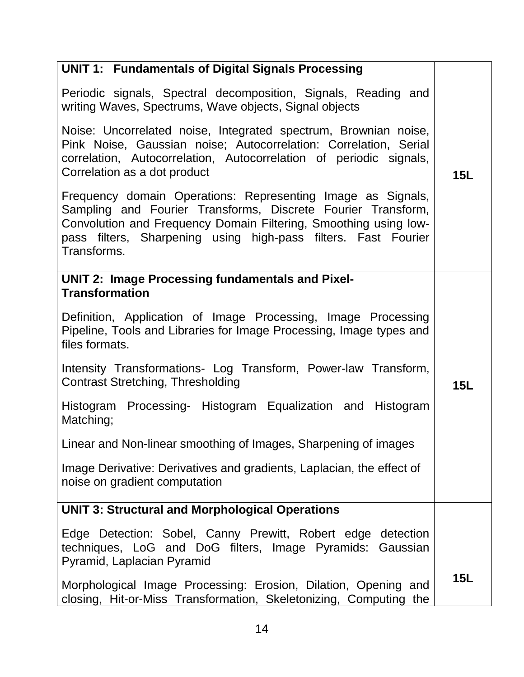| <b>UNIT 1: Fundamentals of Digital Signals Processing</b>                                                                                                                                                                                                                        |            |
|----------------------------------------------------------------------------------------------------------------------------------------------------------------------------------------------------------------------------------------------------------------------------------|------------|
| Periodic signals, Spectral decomposition, Signals, Reading and<br>writing Waves, Spectrums, Wave objects, Signal objects                                                                                                                                                         |            |
| Noise: Uncorrelated noise, Integrated spectrum, Brownian noise,<br>Pink Noise, Gaussian noise; Autocorrelation: Correlation, Serial<br>correlation, Autocorrelation, Autocorrelation of periodic signals,<br>Correlation as a dot product                                        | <b>15L</b> |
| Frequency domain Operations: Representing Image as Signals,<br>Sampling and Fourier Transforms, Discrete Fourier Transform,<br>Convolution and Frequency Domain Filtering, Smoothing using low-<br>pass filters, Sharpening using high-pass filters. Fast Fourier<br>Transforms. |            |
| <b>UNIT 2: Image Processing fundamentals and Pixel-</b><br><b>Transformation</b>                                                                                                                                                                                                 |            |
|                                                                                                                                                                                                                                                                                  |            |
| Definition, Application of Image Processing, Image Processing<br>Pipeline, Tools and Libraries for Image Processing, Image types and<br>files formats.                                                                                                                           |            |
| Intensity Transformations- Log Transform, Power-law Transform,<br><b>Contrast Stretching, Thresholding</b>                                                                                                                                                                       | <b>15L</b> |
| Histogram Processing- Histogram Equalization and Histogram<br>Matching;                                                                                                                                                                                                          |            |
| Linear and Non-linear smoothing of Images, Sharpening of images                                                                                                                                                                                                                  |            |
| Image Derivative: Derivatives and gradients, Laplacian, the effect of<br>noise on gradient computation                                                                                                                                                                           |            |
| <b>UNIT 3: Structural and Morphological Operations</b>                                                                                                                                                                                                                           |            |
| Edge Detection: Sobel, Canny Prewitt, Robert edge detection<br>techniques, LoG and DoG filters, Image Pyramids: Gaussian<br>Pyramid, Laplacian Pyramid                                                                                                                           |            |
| Morphological Image Processing: Erosion, Dilation, Opening and<br>closing, Hit-or-Miss Transformation, Skeletonizing, Computing the                                                                                                                                              | <b>15L</b> |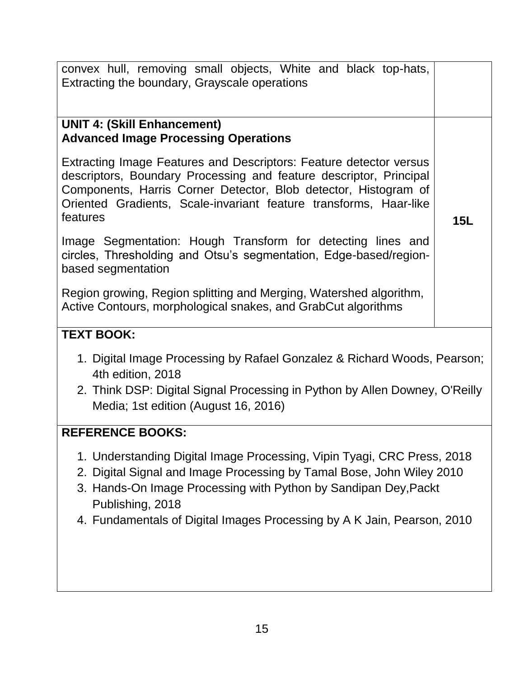| convex hull, removing small objects, White and black top-hats,<br>Extracting the boundary, Grayscale operations                                                                                                                                                                                                    |     |  |
|--------------------------------------------------------------------------------------------------------------------------------------------------------------------------------------------------------------------------------------------------------------------------------------------------------------------|-----|--|
| <b>UNIT 4: (Skill Enhancement)</b><br><b>Advanced Image Processing Operations</b>                                                                                                                                                                                                                                  |     |  |
| Extracting Image Features and Descriptors: Feature detector versus<br>descriptors, Boundary Processing and feature descriptor, Principal<br>Components, Harris Corner Detector, Blob detector, Histogram of<br>Oriented Gradients, Scale-invariant feature transforms, Haar-like<br>features                       | 15L |  |
| Image Segmentation: Hough Transform for detecting lines and<br>circles, Thresholding and Otsu's segmentation, Edge-based/region-<br>based segmentation                                                                                                                                                             |     |  |
| Region growing, Region splitting and Merging, Watershed algorithm,<br>Active Contours, morphological snakes, and GrabCut algorithms                                                                                                                                                                                |     |  |
| <b>TEXT BOOK:</b>                                                                                                                                                                                                                                                                                                  |     |  |
| 1. Digital Image Processing by Rafael Gonzalez & Richard Woods, Pearson;<br>4th edition, 2018<br>2. Think DSP: Digital Signal Processing in Python by Allen Downey, O'Reilly                                                                                                                                       |     |  |
| Media; 1st edition (August 16, 2016)                                                                                                                                                                                                                                                                               |     |  |
| <b>REFERENCE BOOKS:</b>                                                                                                                                                                                                                                                                                            |     |  |
| 1. Understanding Digital Image Processing, Vipin Tyagi, CRC Press, 2018<br>2. Digital Signal and Image Processing by Tamal Bose, John Wiley 2010<br>3. Hands-On Image Processing with Python by Sandipan Dey, Packt<br>Publishing, 2018<br>4. Fundamentals of Digital Images Processing by A K Jain, Pearson, 2010 |     |  |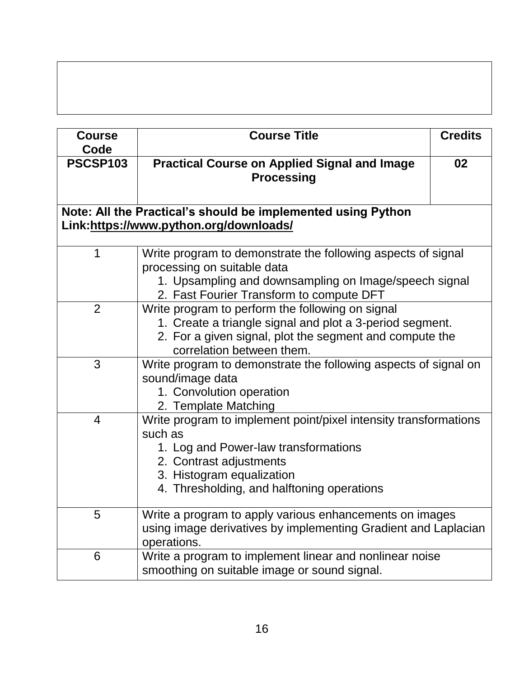| <b>Course</b>   | <b>Course Title</b>                                                                                                                                                                                                       | <b>Credits</b> |
|-----------------|---------------------------------------------------------------------------------------------------------------------------------------------------------------------------------------------------------------------------|----------------|
| Code            |                                                                                                                                                                                                                           |                |
| <b>PSCSP103</b> | <b>Practical Course on Applied Signal and Image</b><br><b>Processing</b>                                                                                                                                                  | 02             |
|                 | Note: All the Practical's should be implemented using Python                                                                                                                                                              |                |
|                 | Link:https://www.python.org/downloads/                                                                                                                                                                                    |                |
|                 |                                                                                                                                                                                                                           |                |
| 1               | Write program to demonstrate the following aspects of signal<br>processing on suitable data<br>1. Upsampling and downsampling on Image/speech signal<br>2. Fast Fourier Transform to compute DFT                          |                |
| $\overline{2}$  | Write program to perform the following on signal<br>1. Create a triangle signal and plot a 3-period segment.<br>2. For a given signal, plot the segment and compute the<br>correlation between them.                      |                |
| 3               | Write program to demonstrate the following aspects of signal on<br>sound/image data<br>1. Convolution operation<br>2. Template Matching                                                                                   |                |
| $\overline{4}$  | Write program to implement point/pixel intensity transformations<br>such as<br>1. Log and Power-law transformations<br>2. Contrast adjustments<br>3. Histogram equalization<br>4. Thresholding, and halftoning operations |                |
| 5               | Write a program to apply various enhancements on images<br>using image derivatives by implementing Gradient and Laplacian<br>operations.                                                                                  |                |
| 6               | Write a program to implement linear and nonlinear noise<br>smoothing on suitable image or sound signal.                                                                                                                   |                |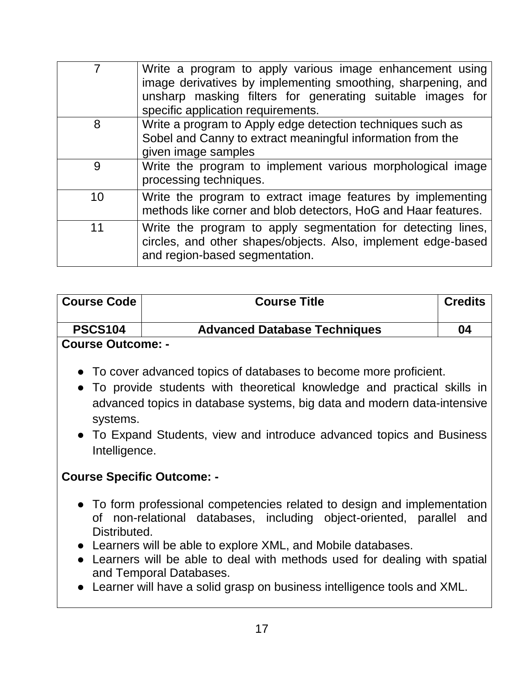|    | Write a program to apply various image enhancement using<br>image derivatives by implementing smoothing, sharpening, and<br>unsharp masking filters for generating suitable images for<br>specific application requirements. |
|----|------------------------------------------------------------------------------------------------------------------------------------------------------------------------------------------------------------------------------|
| 8  | Write a program to Apply edge detection techniques such as<br>Sobel and Canny to extract meaningful information from the<br>given image samples                                                                              |
| 9  | Write the program to implement various morphological image<br>processing techniques.                                                                                                                                         |
| 10 | Write the program to extract image features by implementing<br>methods like corner and blob detectors, HoG and Haar features.                                                                                                |
| 11 | Write the program to apply segmentation for detecting lines,<br>circles, and other shapes/objects. Also, implement edge-based<br>and region-based segmentation.                                                              |

| <b>Course Code</b> | <b>Course Title</b>                 | <b>Credits</b> |
|--------------------|-------------------------------------|----------------|
| <b>PSCS104</b>     | <b>Advanced Database Techniques</b> | 04             |
| Course Outcome: -  |                                     |                |

- To cover advanced topics of databases to become more proficient.
- To provide students with theoretical knowledge and practical skills in advanced topics in database systems, big data and modern data-intensive systems.
- To Expand Students, view and introduce advanced topics and Business Intelligence.

#### **Course Specific Outcome: -**

- To form professional competencies related to design and implementation of non-relational databases, including object-oriented, parallel and Distributed.
- Learners will be able to explore XML, and Mobile databases.
- Learners will be able to deal with methods used for dealing with spatial and Temporal Databases.
- Learner will have a solid grasp on business intelligence tools and XML.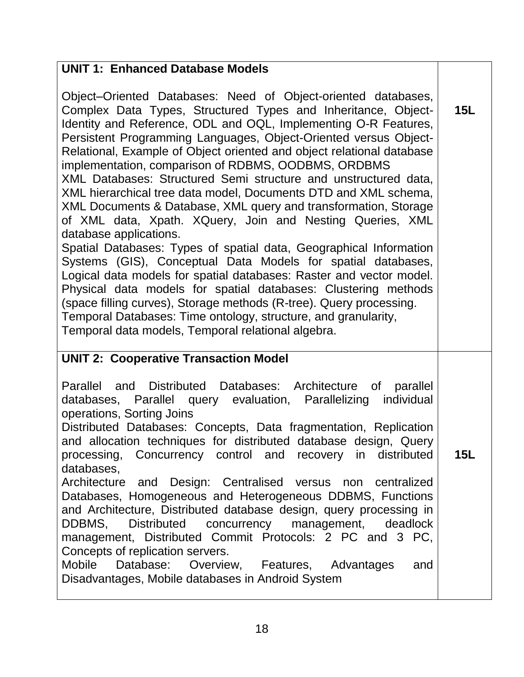#### **UNIT 1: Enhanced Database Models** Object–Oriented Databases: Need of Object-oriented databases, Complex Data Types, Structured Types and Inheritance, Object-Identity and Reference, ODL and OQL, Implementing O-R Features, Persistent Programming Languages, Object-Oriented versus Object-Relational, Example of Object oriented and object relational database implementation, comparison of RDBMS, OODBMS, ORDBMS XML Databases: Structured Semi structure and unstructured data, XML hierarchical tree data model, Documents DTD and XML schema, XML Documents & Database, XML query and transformation, Storage of XML data, Xpath. XQuery, Join and Nesting Queries, XML database applications. Spatial Databases: Types of spatial data, Geographical Information Systems (GIS), Conceptual Data Models for spatial databases, Logical data models for spatial databases: Raster and vector model. Physical data models for spatial databases: Clustering methods (space filling curves), Storage methods (R-tree). Query processing. Temporal Databases: Time ontology, structure, and granularity, Temporal data models, Temporal relational algebra. **15L UNIT 2: Cooperative Transaction Model** Parallel and Distributed Databases: Architecture of parallel databases, Parallel query evaluation, Parallelizing individual operations, Sorting Joins Distributed Databases: Concepts, Data fragmentation, Replication and allocation techniques for distributed database design, Query processing, Concurrency control and recovery in distributed databases, Architecture and Design: Centralised versus non centralized Databases, Homogeneous and Heterogeneous DDBMS, Functions and Architecture, Distributed database design, query processing in DDBMS, Distributed concurrency management, deadlock management, Distributed Commit Protocols: 2 PC and 3 PC, Concepts of replication servers. Mobile Database: Overview, Features, Advantages and Disadvantages, Mobile databases in Android System **15L**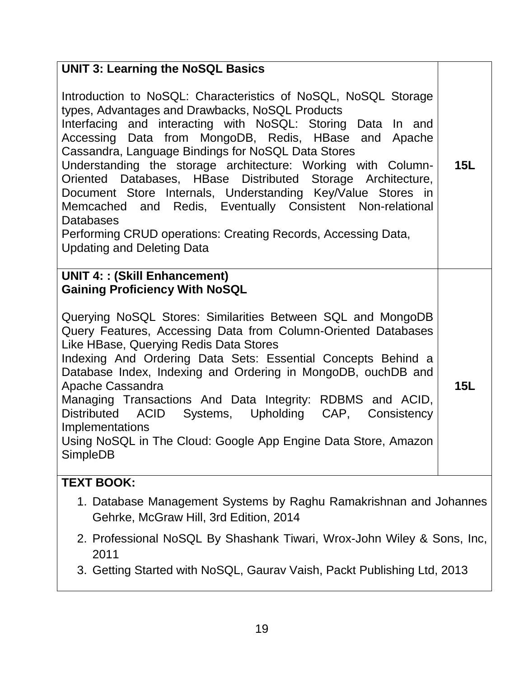- 1. Database Management Systems by Raghu Ramakrishnan and Johannes Gehrke, McGraw Hill, 3rd Edition, 2014
- 2. Professional NoSQL By Shashank Tiwari, Wrox-John Wiley & Sons, Inc, 2011
- 3. Getting Started with NoSQL, Gaurav Vaish, Packt Publishing Ltd, 2013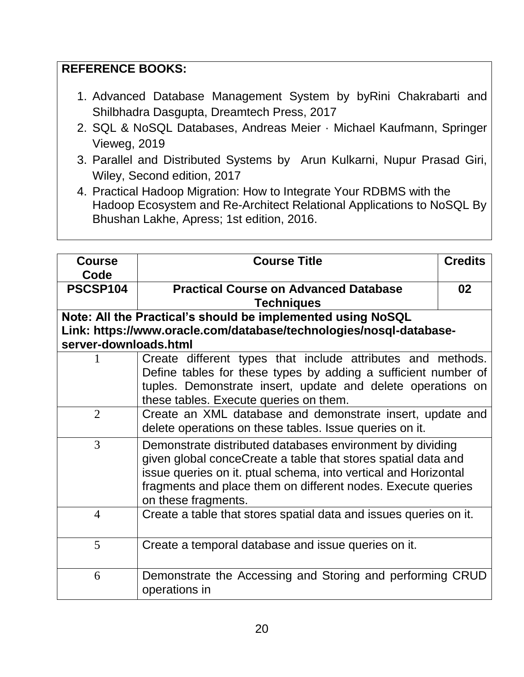# **REFERENCE BOOKS:**

- 1. Advanced Database Management System by byRini Chakrabarti and Shilbhadra Dasgupta, Dreamtech Press, 2017
- 2. SQL & NoSQL Databases, Andreas Meier · Michael Kaufmann, Springer Vieweg, 2019
- 3. Parallel and Distributed Systems by Arun Kulkarni, Nupur Prasad Giri, Wiley, Second edition, 2017
- 4. Practical Hadoop Migration: How to Integrate Your RDBMS with the Hadoop Ecosystem and Re-Architect Relational Applications to NoSQL By Bhushan Lakhe, Apress; 1st edition, 2016.

| <b>Course</b><br>Code | <b>Course Title</b>                                                | <b>Credits</b> |
|-----------------------|--------------------------------------------------------------------|----------------|
| PSCSP104              | <b>Practical Course on Advanced Database</b>                       | 02             |
|                       | <b>Techniques</b>                                                  |                |
|                       | Note: All the Practical's should be implemented using NoSQL        |                |
|                       | Link: https://www.oracle.com/database/technologies/nosql-database- |                |
| server-downloads.html |                                                                    |                |
|                       | Create different types that include attributes and methods.        |                |
|                       | Define tables for these types by adding a sufficient number of     |                |
|                       | tuples. Demonstrate insert, update and delete operations on        |                |
|                       | these tables. Execute queries on them.                             |                |
| $\overline{2}$        | Create an XML database and demonstrate insert, update and          |                |
|                       | delete operations on these tables. Issue queries on it.            |                |
| 3                     | Demonstrate distributed databases environment by dividing          |                |
|                       | given global conceCreate a table that stores spatial data and      |                |
|                       | issue queries on it. ptual schema, into vertical and Horizontal    |                |
|                       | fragments and place them on different nodes. Execute queries       |                |
|                       | on these fragments.                                                |                |
| $\overline{4}$        | Create a table that stores spatial data and issues queries on it.  |                |
|                       |                                                                    |                |
| 5                     | Create a temporal database and issue queries on it.                |                |
|                       |                                                                    |                |
| 6                     | Demonstrate the Accessing and Storing and performing CRUD          |                |
|                       | operations in                                                      |                |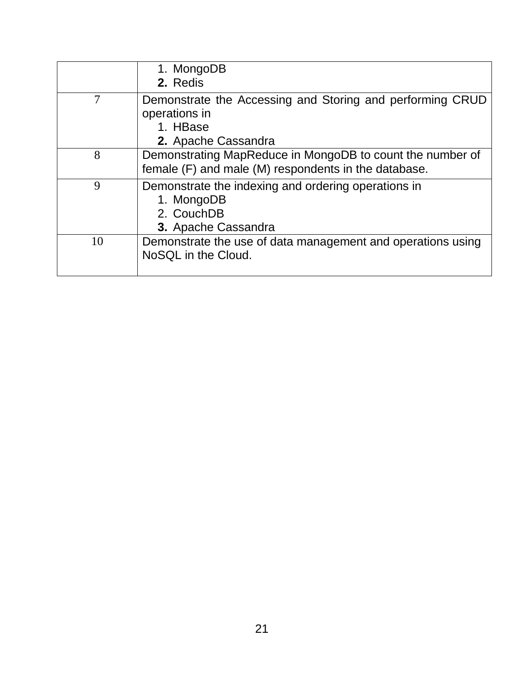|    | 1. MongoDB<br>2. Redis                                                                                            |
|----|-------------------------------------------------------------------------------------------------------------------|
| 7  | Demonstrate the Accessing and Storing and performing CRUD<br>operations in<br>1. HBase<br>2. Apache Cassandra     |
| 8  | Demonstrating MapReduce in MongoDB to count the number of<br>female (F) and male (M) respondents in the database. |
| 9  | Demonstrate the indexing and ordering operations in<br>1. MongoDB<br>2. CouchDB<br>3. Apache Cassandra            |
| 10 | Demonstrate the use of data management and operations using<br>NoSQL in the Cloud.                                |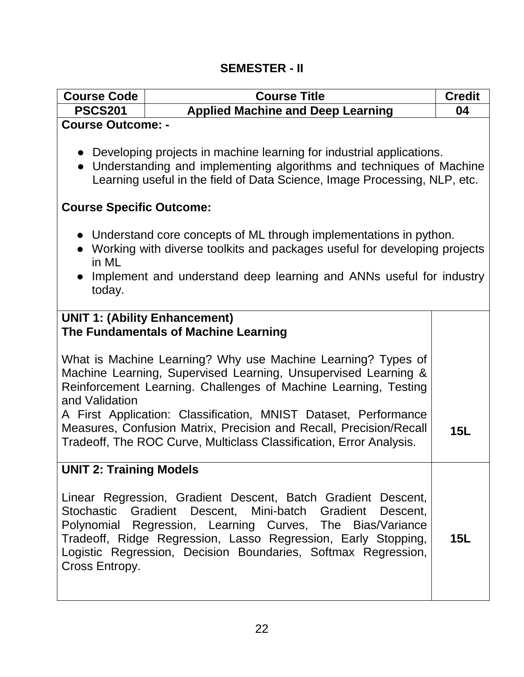# **SEMESTER - II**

| <b>Course Code</b>                                                                                                                                                                                                  | <b>Course Title</b>                                                                                                                                                                                                                                                                                                      | <b>Credit</b> |  |
|---------------------------------------------------------------------------------------------------------------------------------------------------------------------------------------------------------------------|--------------------------------------------------------------------------------------------------------------------------------------------------------------------------------------------------------------------------------------------------------------------------------------------------------------------------|---------------|--|
| <b>PSCS201</b>                                                                                                                                                                                                      | <b>Applied Machine and Deep Learning</b>                                                                                                                                                                                                                                                                                 | 04            |  |
| <b>Course Outcome: -</b>                                                                                                                                                                                            |                                                                                                                                                                                                                                                                                                                          |               |  |
|                                                                                                                                                                                                                     | • Developing projects in machine learning for industrial applications.<br>• Understanding and implementing algorithms and techniques of Machine<br>Learning useful in the field of Data Science, Image Processing, NLP, etc.                                                                                             |               |  |
| <b>Course Specific Outcome:</b>                                                                                                                                                                                     |                                                                                                                                                                                                                                                                                                                          |               |  |
| in ML                                                                                                                                                                                                               | • Understand core concepts of ML through implementations in python.<br>• Working with diverse toolkits and packages useful for developing projects                                                                                                                                                                       |               |  |
| today.                                                                                                                                                                                                              | Implement and understand deep learning and ANNs useful for industry                                                                                                                                                                                                                                                      |               |  |
| <b>UNIT 1: (Ability Enhancement)</b><br>The Fundamentals of Machine Learning                                                                                                                                        |                                                                                                                                                                                                                                                                                                                          |               |  |
| What is Machine Learning? Why use Machine Learning? Types of<br>Machine Learning, Supervised Learning, Unsupervised Learning &<br>Reinforcement Learning. Challenges of Machine Learning, Testing<br>and Validation |                                                                                                                                                                                                                                                                                                                          |               |  |
|                                                                                                                                                                                                                     | A First Application: Classification, MNIST Dataset, Performance<br>Measures, Confusion Matrix, Precision and Recall, Precision/Recall<br>Tradeoff, The ROC Curve, Multiclass Classification, Error Analysis.                                                                                                             | 15L           |  |
| <b>UNIT 2: Training Models</b>                                                                                                                                                                                      |                                                                                                                                                                                                                                                                                                                          |               |  |
| Cross Entropy.                                                                                                                                                                                                      | Linear Regression, Gradient Descent, Batch Gradient Descent,<br>Stochastic Gradient Descent, Mini-batch Gradient Descent,<br>Polynomial Regression, Learning Curves, The Bias/Variance<br>Tradeoff, Ridge Regression, Lasso Regression, Early Stopping,<br>Logistic Regression, Decision Boundaries, Softmax Regression, | <b>15L</b>    |  |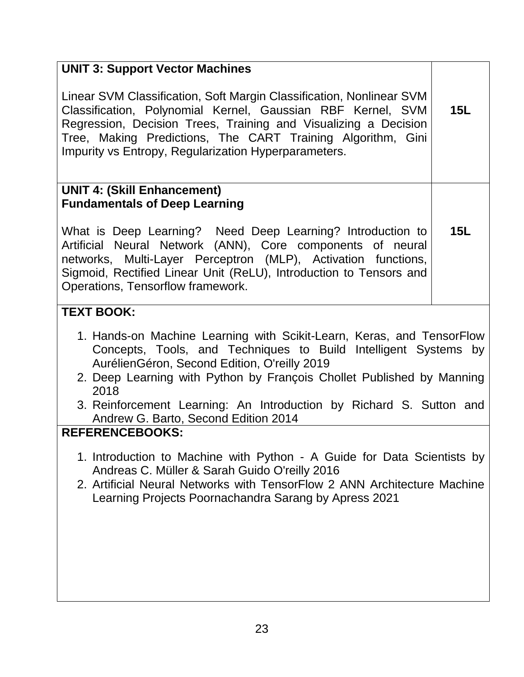| <b>UNIT 3: Support Vector Machines</b>                                                                                                                                                                                                                                                                                        |     |
|-------------------------------------------------------------------------------------------------------------------------------------------------------------------------------------------------------------------------------------------------------------------------------------------------------------------------------|-----|
| Linear SVM Classification, Soft Margin Classification, Nonlinear SVM<br>Classification, Polynomial Kernel, Gaussian RBF Kernel, SVM<br>Regression, Decision Trees, Training and Visualizing a Decision<br>Tree, Making Predictions, The CART Training Algorithm, Gini<br>Impurity vs Entropy, Regularization Hyperparameters. |     |
| <b>UNIT 4: (Skill Enhancement)</b><br><b>Fundamentals of Deep Learning</b>                                                                                                                                                                                                                                                    |     |
|                                                                                                                                                                                                                                                                                                                               |     |
| What is Deep Learning? Need Deep Learning? Introduction to<br>Artificial Neural Network (ANN), Core components of neural<br>networks, Multi-Layer Perceptron (MLP), Activation functions,<br>Sigmoid, Rectified Linear Unit (ReLU), Introduction to Tensors and<br>Operations, Tensorflow framework.                          | 15L |

# **TEXT BOOK:**

- 1. Hands-on Machine Learning with Scikit-Learn, Keras, and TensorFlow Concepts, Tools, and Techniques to Build Intelligent Systems by AurélienGéron, Second Edition, O'reilly 2019
- 2. Deep Learning with Python by François Chollet Published by Manning 2018
- 3. Reinforcement Learning: An Introduction by Richard S. Sutton and Andrew G. Barto, Second Edition 2014

#### **REFERENCEBOOKS:**

- 1. Introduction to Machine with Python A Guide for Data Scientists by Andreas C. Müller & Sarah Guido O'reilly 2016
- 2. Artificial Neural Networks with TensorFlow 2 ANN Architecture Machine Learning Projects Poornachandra Sarang by Apress 2021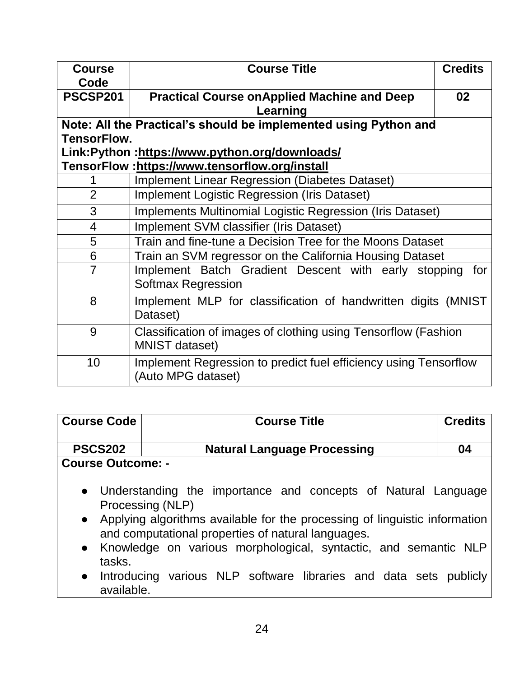| <b>Course</b><br>Code | <b>Course Title</b>                                                                     | <b>Credits</b> |
|-----------------------|-----------------------------------------------------------------------------------------|----------------|
| PSCSP201              | <b>Practical Course on Applied Machine and Deep</b><br>Learning                         | 02             |
|                       | Note: All the Practical's should be implemented using Python and                        |                |
| <b>TensorFlow.</b>    |                                                                                         |                |
|                       | Link:Python:https://www.python.org/downloads/                                           |                |
|                       | TensorFlow :https://www.tensorflow.org/install                                          |                |
|                       | <b>Implement Linear Regression (Diabetes Dataset)</b>                                   |                |
| $\overline{2}$        | <b>Implement Logistic Regression (Iris Dataset)</b>                                     |                |
| 3                     | Implements Multinomial Logistic Regression (Iris Dataset)                               |                |
| 4                     | Implement SVM classifier (Iris Dataset)                                                 |                |
| 5                     | Train and fine-tune a Decision Tree for the Moons Dataset                               |                |
| 6                     | Train an SVM regressor on the California Housing Dataset                                |                |
| $\overline{7}$        | Implement Batch Gradient Descent with early stopping<br><b>Softmax Regression</b>       | for            |
| 8                     | Implement MLP for classification of handwritten digits (MNIST<br>Dataset)               |                |
| 9                     | Classification of images of clothing using Tensorflow (Fashion<br><b>MNIST dataset)</b> |                |
| 10                    | Implement Regression to predict fuel efficiency using Tensorflow<br>(Auto MPG dataset)  |                |

| <b>Course Code</b>       | <b>Course Title</b>                                                                                                                                                                                                                                                                                                                                                   | <b>Credits</b> |  |
|--------------------------|-----------------------------------------------------------------------------------------------------------------------------------------------------------------------------------------------------------------------------------------------------------------------------------------------------------------------------------------------------------------------|----------------|--|
| <b>PSCS202</b>           | <b>Natural Language Processing</b>                                                                                                                                                                                                                                                                                                                                    | 04             |  |
| <b>Course Outcome: -</b> |                                                                                                                                                                                                                                                                                                                                                                       |                |  |
| tasks.                   | • Understanding the importance and concepts of Natural Language<br>Processing (NLP)<br>• Applying algorithms available for the processing of linguistic information<br>and computational properties of natural languages.<br>• Knowledge on various morphological, syntactic, and semantic NLP<br>e Introducing various NID coffware libraries and data sots publishy |                |  |

● Introducing various NLP software libraries and data sets publicly available.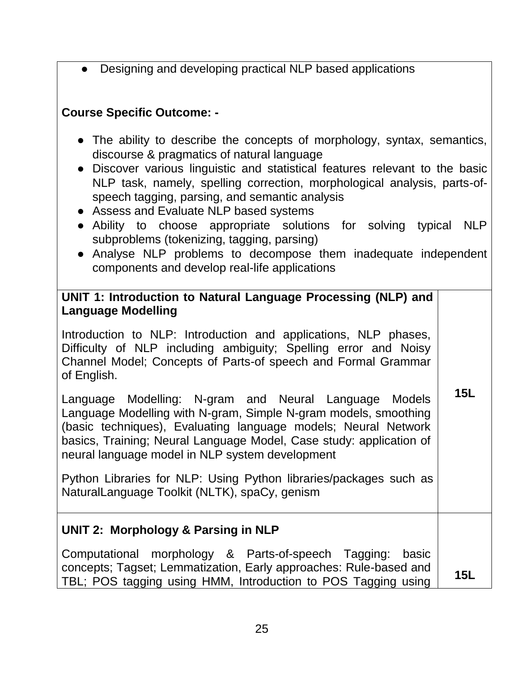Designing and developing practical NLP based applications

#### **Course Specific Outcome: -**

- The ability to describe the concepts of morphology, syntax, semantics, discourse & pragmatics of natural language
- Discover various linguistic and statistical features relevant to the basic NLP task, namely, spelling correction, morphological analysis, parts-ofspeech tagging, parsing, and semantic analysis
- Assess and Evaluate NLP based systems
- Ability to choose appropriate solutions for solving typical NLP subproblems (tokenizing, tagging, parsing)
- Analyse NLP problems to decompose them inadequate independent components and develop real-life applications

# **UNIT 1: Introduction to Natural Language Processing (NLP) and Language Modelling**

Introduction to NLP: Introduction and applications, NLP phases, Difficulty of NLP including ambiguity; Spelling error and Noisy Channel Model; Concepts of Parts-of speech and Formal Grammar of English.

Language Modelling: N-gram and Neural Language Models Language Modelling with N-gram, Simple N-gram models, smoothing (basic techniques), Evaluating language models; Neural Network basics, Training; Neural Language Model, Case study: application of neural language model in NLP system development **15L**

Python Libraries for NLP: Using Python libraries/packages such as NaturalLanguage Toolkit (NLTK), spaCy, genism

# **UNIT 2: Morphology & Parsing in NLP**

Computational morphology & Parts-of-speech Tagging: basic concepts; Tagset; Lemmatization, Early approaches: Rule-based and TBL; POS tagging using HMM, Introduction to POS Tagging using **15L**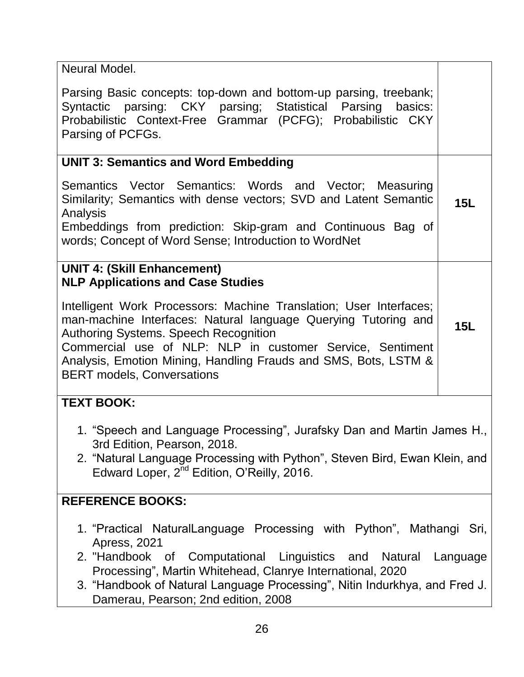| Neural Model.                                                                                                                                                                                                                                                                                                                                             |     |  |
|-----------------------------------------------------------------------------------------------------------------------------------------------------------------------------------------------------------------------------------------------------------------------------------------------------------------------------------------------------------|-----|--|
| Parsing Basic concepts: top-down and bottom-up parsing, treebank;<br>Syntactic parsing: CKY parsing; Statistical Parsing basics:<br>Probabilistic Context-Free Grammar (PCFG); Probabilistic CKY<br>Parsing of PCFGs.                                                                                                                                     |     |  |
| <b>UNIT 3: Semantics and Word Embedding</b>                                                                                                                                                                                                                                                                                                               |     |  |
| Semantics Vector Semantics: Words and Vector; Measuring<br>Similarity; Semantics with dense vectors; SVD and Latent Semantic<br>Analysis<br>Embeddings from prediction: Skip-gram and Continuous Bag of                                                                                                                                                   | 15L |  |
| words; Concept of Word Sense; Introduction to WordNet                                                                                                                                                                                                                                                                                                     |     |  |
| <b>UNIT 4: (Skill Enhancement)</b>                                                                                                                                                                                                                                                                                                                        |     |  |
| <b>NLP Applications and Case Studies</b>                                                                                                                                                                                                                                                                                                                  |     |  |
| Intelligent Work Processors: Machine Translation; User Interfaces;<br>man-machine Interfaces: Natural language Querying Tutoring and<br><b>Authoring Systems. Speech Recognition</b><br>Commercial use of NLP: NLP in customer Service, Sentiment<br>Analysis, Emotion Mining, Handling Frauds and SMS, Bots, LSTM &<br><b>BERT models, Conversations</b> |     |  |
| <b>TEXT BOOK:</b>                                                                                                                                                                                                                                                                                                                                         |     |  |
| 1. "Speech and Language Processing", Jurafsky Dan and Martin James H.,<br>3rd Edition, Pearson, 2018.<br>2. "Natural Language Processing with Python", Steven Bird, Ewan Klein, and<br>Edward Loper, 2 <sup>nd</sup> Edition, O'Reilly, 2016.                                                                                                             |     |  |
| <b>REFERENCE BOOKS:</b>                                                                                                                                                                                                                                                                                                                                   |     |  |
| 1. "Practical NaturalLanguage Processing with Python", Mathangi Sri,<br><b>Apress, 2021</b>                                                                                                                                                                                                                                                               |     |  |
| 2. "Handbook of Computational Linguistics and Natural Language<br>Processing", Martin Whitehead, Clanrye International, 2020                                                                                                                                                                                                                              |     |  |

3. "Handbook of Natural Language Processing", Nitin Indurkhya, and Fred J. Damerau, Pearson; 2nd edition, 2008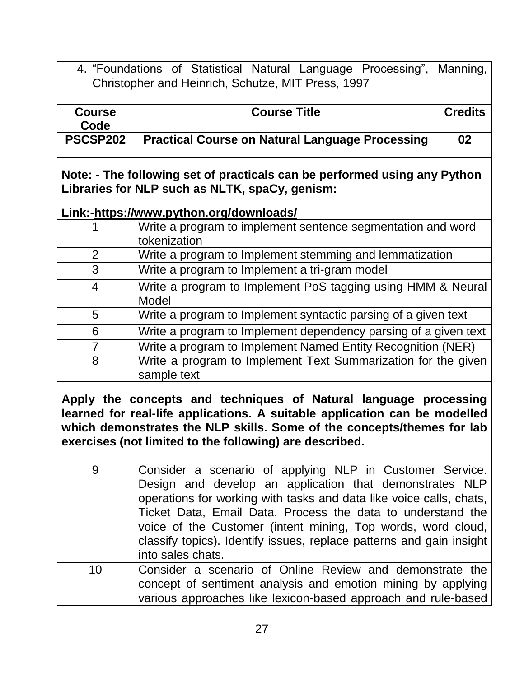4. "Foundations of Statistical Natural Language Processing", Manning, Christopher and Heinrich, Schutze, MIT Press, 1997

| Course<br>Code | <b>Course Title</b>                                    | <b>Credits</b> |
|----------------|--------------------------------------------------------|----------------|
| PSCSP202       | <b>Practical Course on Natural Language Processing</b> | 02             |

**Note: - The following set of practicals can be performed using any Python Libraries for NLP such as NLTK, spaCy, genism:**

#### **Link:[-https://www.python.org/downloads/](https://www.python.org/downloads/)**

|   | Write a program to implement sentence segmentation and word<br>tokenization  |
|---|------------------------------------------------------------------------------|
| 2 | Write a program to Implement stemming and lemmatization                      |
| 3 | Write a program to Implement a tri-gram model                                |
| 4 | Write a program to Implement PoS tagging using HMM & Neural<br>Model         |
| 5 | Write a program to Implement syntactic parsing of a given text               |
| 6 | Write a program to Implement dependency parsing of a given text              |
| 7 | Write a program to Implement Named Entity Recognition (NER)                  |
| 8 | Write a program to Implement Text Summarization for the given<br>sample text |

**Apply the concepts and techniques of Natural language processing learned for real-life applications. A suitable application can be modelled which demonstrates the NLP skills. Some of the concepts/themes for lab exercises (not limited to the following) are described.** 

| 9  | Consider a scenario of applying NLP in Customer Service.             |  |  |
|----|----------------------------------------------------------------------|--|--|
|    | Design and develop an application that demonstrates NLP              |  |  |
|    | operations for working with tasks and data like voice calls, chats,  |  |  |
|    | Ticket Data, Email Data. Process the data to understand the          |  |  |
|    | voice of the Customer (intent mining, Top words, word cloud,         |  |  |
|    | classify topics). Identify issues, replace patterns and gain insight |  |  |
|    | into sales chats.                                                    |  |  |
| 10 | Consider a scenario of Online Review and demonstrate the             |  |  |
|    | concept of sentiment analysis and emotion mining by applying         |  |  |
|    | various approaches like lexicon-based approach and rule-based        |  |  |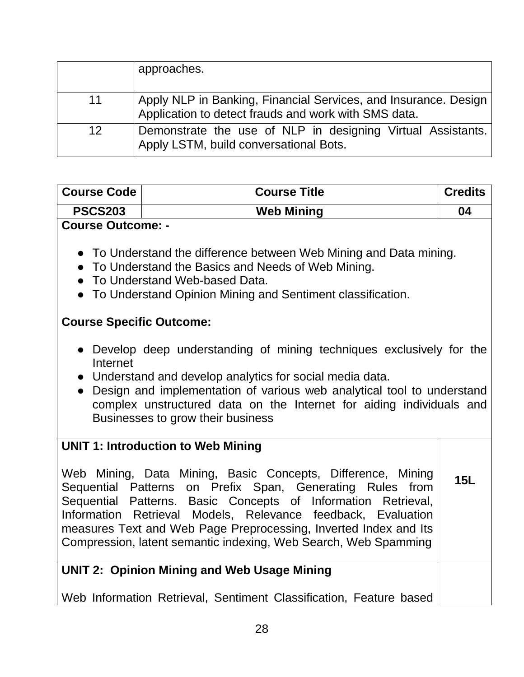|    | approaches.                                                                                                             |
|----|-------------------------------------------------------------------------------------------------------------------------|
| 11 | Apply NLP in Banking, Financial Services, and Insurance. Design<br>Application to detect frauds and work with SMS data. |
| 12 | Demonstrate the use of NLP in designing Virtual Assistants.<br>Apply LSTM, build conversational Bots.                   |

| <b>Course Code</b>                                                                                                                                                                                                                                                                                                                                                                                                                                                                                                                                                                                         | <b>Course Title</b>                                                                                                      | <b>Credits</b> |
|------------------------------------------------------------------------------------------------------------------------------------------------------------------------------------------------------------------------------------------------------------------------------------------------------------------------------------------------------------------------------------------------------------------------------------------------------------------------------------------------------------------------------------------------------------------------------------------------------------|--------------------------------------------------------------------------------------------------------------------------|----------------|
| <b>PSCS203</b>                                                                                                                                                                                                                                                                                                                                                                                                                                                                                                                                                                                             | <b>Web Mining</b>                                                                                                        | 04             |
| <b>Course Outcome: -</b><br>• To Understand the difference between Web Mining and Data mining.<br>• To Understand the Basics and Needs of Web Mining.<br>• To Understand Web-based Data.<br>• To Understand Opinion Mining and Sentiment classification.<br><b>Course Specific Outcome:</b><br>• Develop deep understanding of mining techniques exclusively for the<br>Internet<br>Understand and develop analytics for social media data.<br>Design and implementation of various web analytical tool to understand<br>$\bullet$<br>complex unstructured data on the Internet for aiding individuals and |                                                                                                                          |                |
| Businesses to grow their business<br><b>UNIT 1: Introduction to Web Mining</b><br>Web Mining, Data Mining, Basic Concepts, Difference, Mining<br>Sequential Patterns on Prefix Span, Generating Rules from<br>Sequential Patterns. Basic Concepts of Information Retrieval,<br>Information Retrieval Models, Relevance feedback, Evaluation<br>measures Text and Web Page Preprocessing, Inverted Index and Its<br>Compression, latent semantic indexing, Web Search, Web Spamming                                                                                                                         |                                                                                                                          | 15L            |
|                                                                                                                                                                                                                                                                                                                                                                                                                                                                                                                                                                                                            | <b>UNIT 2: Opinion Mining and Web Usage Mining</b><br>Web Information Retrieval, Sentiment Classification, Feature based |                |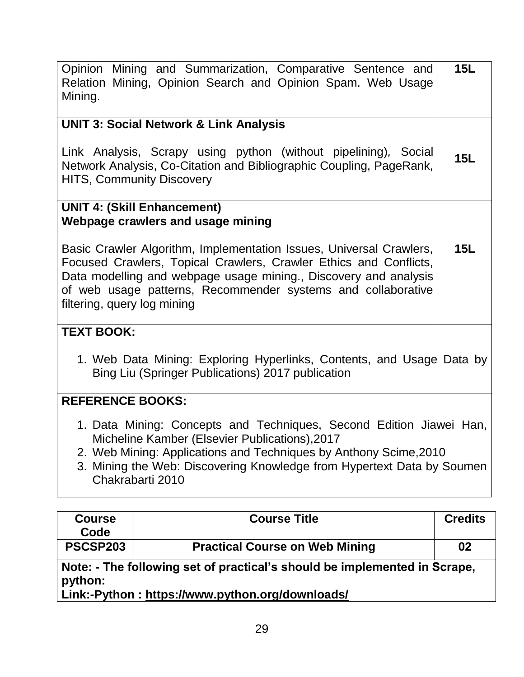| <b>Course</b>                                                                                                                                                                                                                                                                                                                                    | <b>Course Title</b>                                                                                                       | <b>Credits</b> |
|--------------------------------------------------------------------------------------------------------------------------------------------------------------------------------------------------------------------------------------------------------------------------------------------------------------------------------------------------|---------------------------------------------------------------------------------------------------------------------------|----------------|
| Micheline Kamber (Elsevier Publications), 2017<br>2. Web Mining: Applications and Techniques by Anthony Scime, 2010<br>3. Mining the Web: Discovering Knowledge from Hypertext Data by Soumen<br>Chakrabarti 2010                                                                                                                                |                                                                                                                           |                |
| 1. Data Mining: Concepts and Techniques, Second Edition Jiawei Han,                                                                                                                                                                                                                                                                              |                                                                                                                           |                |
| <b>REFERENCE BOOKS:</b>                                                                                                                                                                                                                                                                                                                          |                                                                                                                           |                |
| <b>TEXT BOOK:</b><br>1. Web Data Mining: Exploring Hyperlinks, Contents, and Usage Data by<br>Bing Liu (Springer Publications) 2017 publication                                                                                                                                                                                                  |                                                                                                                           |                |
| Webpage crawlers and usage mining<br>Basic Crawler Algorithm, Implementation Issues, Universal Crawlers,<br>Focused Crawlers, Topical Crawlers, Crawler Ethics and Conflicts,<br>Data modelling and webpage usage mining., Discovery and analysis<br>of web usage patterns, Recommender systems and collaborative<br>filtering, query log mining |                                                                                                                           | <b>15L</b>     |
|                                                                                                                                                                                                                                                                                                                                                  | <b>UNIT 4: (Skill Enhancement)</b>                                                                                        |                |
| Link Analysis, Scrapy using python (without pipelining), Social<br>Network Analysis, Co-Citation and Bibliographic Coupling, PageRank,<br><b>HITS, Community Discovery</b>                                                                                                                                                                       |                                                                                                                           |                |
|                                                                                                                                                                                                                                                                                                                                                  | <b>UNIT 3: Social Network &amp; Link Analysis</b>                                                                         |                |
| Mining.                                                                                                                                                                                                                                                                                                                                          | Opinion Mining and Summarization, Comparative Sentence and<br>Relation Mining, Opinion Search and Opinion Spam. Web Usage | 15L            |
|                                                                                                                                                                                                                                                                                                                                                  |                                                                                                                           |                |

| <b>COULSE</b> | <b>COULSE LILIE</b>                                                       | <b>U</b> lealls |
|---------------|---------------------------------------------------------------------------|-----------------|
| Code          |                                                                           |                 |
| PSCSP203      | <b>Practical Course on Web Mining</b>                                     | 02              |
| python:       | Note: - The following set of practical's should be implemented in Scrape, |                 |
|               | <u> Link-Dython · https://www.python.org/downloads/</u>                   |                 |

**Link:-Python :<https://www.python.org/downloads/>**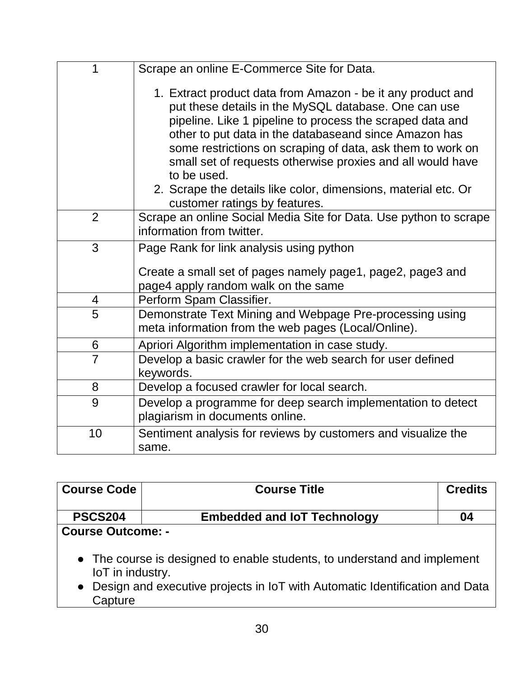| 1              | Scrape an online E-Commerce Site for Data.                                                                                                                                                                                                                                                                                                                                                                                                                                              |
|----------------|-----------------------------------------------------------------------------------------------------------------------------------------------------------------------------------------------------------------------------------------------------------------------------------------------------------------------------------------------------------------------------------------------------------------------------------------------------------------------------------------|
|                | 1. Extract product data from Amazon - be it any product and<br>put these details in the MySQL database. One can use<br>pipeline. Like 1 pipeline to process the scraped data and<br>other to put data in the databaseand since Amazon has<br>some restrictions on scraping of data, ask them to work on<br>small set of requests otherwise proxies and all would have<br>to be used.<br>2. Scrape the details like color, dimensions, material etc. Or<br>customer ratings by features. |
| $\overline{2}$ | Scrape an online Social Media Site for Data. Use python to scrape<br>information from twitter.                                                                                                                                                                                                                                                                                                                                                                                          |
| 3              | Page Rank for link analysis using python                                                                                                                                                                                                                                                                                                                                                                                                                                                |
|                | Create a small set of pages namely page1, page2, page3 and<br>page4 apply random walk on the same                                                                                                                                                                                                                                                                                                                                                                                       |
| 4              | Perform Spam Classifier.                                                                                                                                                                                                                                                                                                                                                                                                                                                                |
| 5              | Demonstrate Text Mining and Webpage Pre-processing using<br>meta information from the web pages (Local/Online).                                                                                                                                                                                                                                                                                                                                                                         |
| 6              | Apriori Algorithm implementation in case study.                                                                                                                                                                                                                                                                                                                                                                                                                                         |
| $\overline{7}$ | Develop a basic crawler for the web search for user defined<br>keywords.                                                                                                                                                                                                                                                                                                                                                                                                                |
| 8              | Develop a focused crawler for local search.                                                                                                                                                                                                                                                                                                                                                                                                                                             |
| 9              | Develop a programme for deep search implementation to detect<br>plagiarism in documents online.                                                                                                                                                                                                                                                                                                                                                                                         |
| 10             | Sentiment analysis for reviews by customers and visualize the<br>same.                                                                                                                                                                                                                                                                                                                                                                                                                  |

| <b>Course Code</b>                                                                                                                                                                       | <b>Course Title</b>                | <b>Credits</b> |  |
|------------------------------------------------------------------------------------------------------------------------------------------------------------------------------------------|------------------------------------|----------------|--|
| <b>PSCS204</b>                                                                                                                                                                           | <b>Embedded and IoT Technology</b> | 04             |  |
| <b>Course Outcome: -</b>                                                                                                                                                                 |                                    |                |  |
| • The course is designed to enable students, to understand and implement<br>loT in industry.<br>• Design and executive projects in IoT with Automatic Identification and Data<br>Capture |                                    |                |  |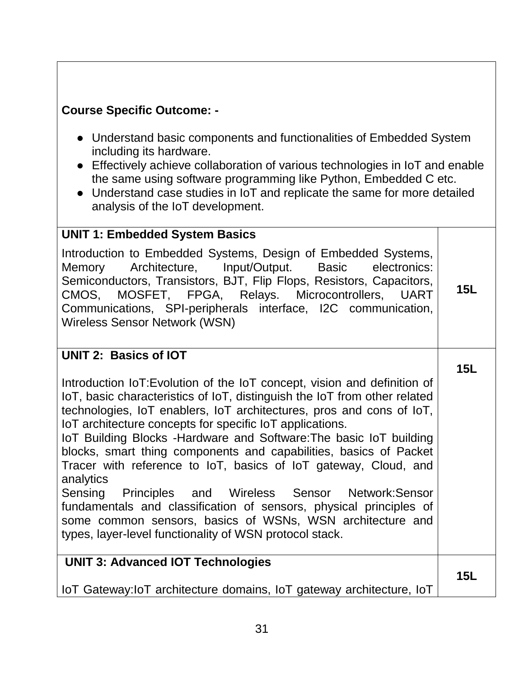# **Course Specific Outcome: -**

- Understand basic components and functionalities of Embedded System including its hardware.
- Effectively achieve collaboration of various technologies in IoT and enable the same using software programming like Python, Embedded C etc.
- Understand case studies in IoT and replicate the same for more detailed analysis of the IoT development.

#### **UNIT 1: Embedded System Basics**

Introduction to Embedded Systems, Design of Embedded Systems, Memory Architecture, Input/Output. Basic electronics: Semiconductors, Transistors, BJT, Flip Flops, Resistors, Capacitors, CMOS, MOSFET, FPGA, Relays. Microcontrollers, UART Communications, SPI-peripherals interface, I2C communication, Wireless Sensor Network (WSN) **15L**

**15L**

#### **UNIT 2: Basics of IOT**

Introduction IoT:Evolution of the IoT concept, vision and definition of IoT, basic characteristics of IoT, distinguish the IoT from other related technologies, IoT enablers, IoT architectures, pros and cons of IoT, IoT architecture concepts for specific IoT applications.

IoT Building Blocks -Hardware and Software:The basic IoT building blocks, smart thing components and capabilities, basics of Packet Tracer with reference to IoT, basics of IoT gateway, Cloud, and analytics

Sensing Principles and Wireless Sensor Network:Sensor fundamentals and classification of sensors, physical principles of some common sensors, basics of WSNs, WSN architecture and types, layer-level functionality of WSN protocol stack.

#### **UNIT 3: Advanced IOT Technologies 15L**

IoT Gateway:IoT architecture domains, IoT gateway architecture, IoT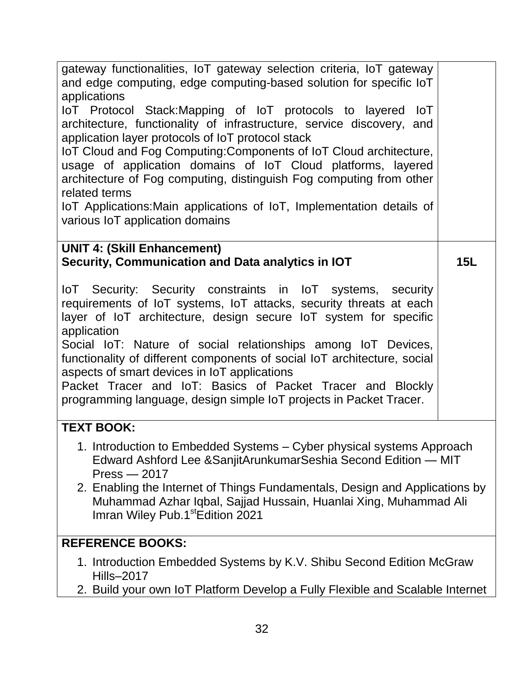| gateway functionalities, IoT gateway selection criteria, IoT gateway<br>and edge computing, edge computing-based solution for specific loT<br>applications<br>IoT Protocol Stack: Mapping of IoT protocols to layered IoT<br>architecture, functionality of infrastructure, service discovery, and<br>application layer protocols of IoT protocol stack<br>IoT Cloud and Fog Computing: Components of IoT Cloud architecture,<br>usage of application domains of IoT Cloud platforms, layered<br>architecture of Fog computing, distinguish Fog computing from other<br>related terms<br>IoT Applications: Main applications of IoT, Implementation details of<br>various IoT application domains |     |  |
|---------------------------------------------------------------------------------------------------------------------------------------------------------------------------------------------------------------------------------------------------------------------------------------------------------------------------------------------------------------------------------------------------------------------------------------------------------------------------------------------------------------------------------------------------------------------------------------------------------------------------------------------------------------------------------------------------|-----|--|
| <b>UNIT 4: (Skill Enhancement)</b><br>Security, Communication and Data analytics in IOT                                                                                                                                                                                                                                                                                                                                                                                                                                                                                                                                                                                                           | 15L |  |
| IoT Security: Security constraints in IoT systems, security<br>requirements of IoT systems, IoT attacks, security threats at each<br>layer of IoT architecture, design secure IoT system for specific<br>application<br>Social IoT: Nature of social relationships among IoT Devices,<br>functionality of different components of social IoT architecture, social<br>aspects of smart devices in IoT applications<br>Packet Tracer and IoT: Basics of Packet Tracer and Blockly<br>programming language, design simple IoT projects in Packet Tracer.                                                                                                                                             |     |  |
| <b>TEXT BOOK:</b>                                                                                                                                                                                                                                                                                                                                                                                                                                                                                                                                                                                                                                                                                 |     |  |
| 1. Introduction to Embedded Systems - Cyber physical systems Approach<br>Edward Ashford Lee & Sanjit Arunkumar Seshia Second Edition - MIT<br>$Press - 2017$<br>2. Enabling the Internet of Things Fundamentals, Design and Applications by<br>Muhammad Azhar Iqbal, Sajjad Hussain, Huanlai Xing, Muhammad Ali<br>Imran Wiley Pub.1 <sup>st</sup> Edition 2021                                                                                                                                                                                                                                                                                                                                   |     |  |
| <b>REFERENCE BOOKS:</b>                                                                                                                                                                                                                                                                                                                                                                                                                                                                                                                                                                                                                                                                           |     |  |
| 1. Introduction Embedded Systems by K.V. Shibu Second Edition McGraw<br><b>Hills-2017</b><br>2. Build your own IoT Platform Develop a Fully Flexible and Scalable Internet                                                                                                                                                                                                                                                                                                                                                                                                                                                                                                                        |     |  |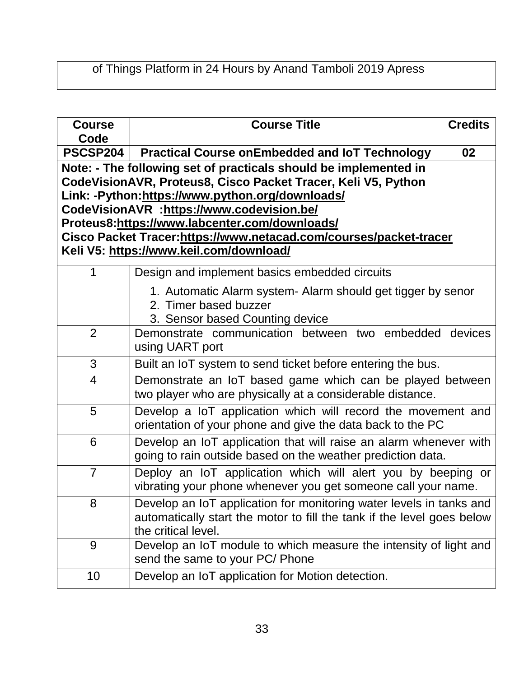# of Things Platform in 24 Hours by Anand Tamboli 2019 Apress

| <b>Course</b><br>Code | <b>Course Title</b>                                                                                                              | <b>Credits</b> |  |  |
|-----------------------|----------------------------------------------------------------------------------------------------------------------------------|----------------|--|--|
| PSCSP204              | <b>Practical Course onEmbedded and IoT Technology</b>                                                                            |                |  |  |
|                       | Note: - The following set of practicals should be implemented in                                                                 |                |  |  |
|                       | CodeVisionAVR, Proteus8, Cisco Packet Tracer, Keli V5, Python                                                                    |                |  |  |
|                       | Link: -Python:https://www.python.org/downloads/                                                                                  |                |  |  |
|                       | CodeVisionAVR :https://www.codevision.be/<br>Proteus8:https://www.labcenter.com/downloads/                                       |                |  |  |
|                       | Cisco Packet Tracer:https://www.netacad.com/courses/packet-tracer                                                                |                |  |  |
|                       | Keli V5: https://www.keil.com/download/                                                                                          |                |  |  |
| 1                     | Design and implement basics embedded circuits                                                                                    |                |  |  |
|                       |                                                                                                                                  |                |  |  |
|                       | 1. Automatic Alarm system- Alarm should get tigger by senor                                                                      |                |  |  |
|                       | 2. Timer based buzzer<br>3. Sensor based Counting device                                                                         |                |  |  |
| $\overline{2}$        | Demonstrate communication between two embedded devices                                                                           |                |  |  |
|                       | using UART port                                                                                                                  |                |  |  |
| 3                     | Built an IoT system to send ticket before entering the bus.                                                                      |                |  |  |
| 4                     | Demonstrate an IoT based game which can be played between                                                                        |                |  |  |
|                       | two player who are physically at a considerable distance.                                                                        |                |  |  |
| 5                     | Develop a IoT application which will record the movement and                                                                     |                |  |  |
|                       | orientation of your phone and give the data back to the PC                                                                       |                |  |  |
| 6                     | Develop an IoT application that will raise an alarm whenever with<br>going to rain outside based on the weather prediction data. |                |  |  |
| $\overline{7}$        | Deploy an IoT application which will alert you by beeping or<br>vibrating your phone whenever you get someone call your name.    |                |  |  |
| 8                     | Develop an IoT application for monitoring water levels in tanks and                                                              |                |  |  |
|                       | automatically start the motor to fill the tank if the level goes below<br>the critical level.                                    |                |  |  |
| 9                     | Develop an IoT module to which measure the intensity of light and<br>send the same to your PC/ Phone                             |                |  |  |
| 10                    | Develop an IoT application for Motion detection.                                                                                 |                |  |  |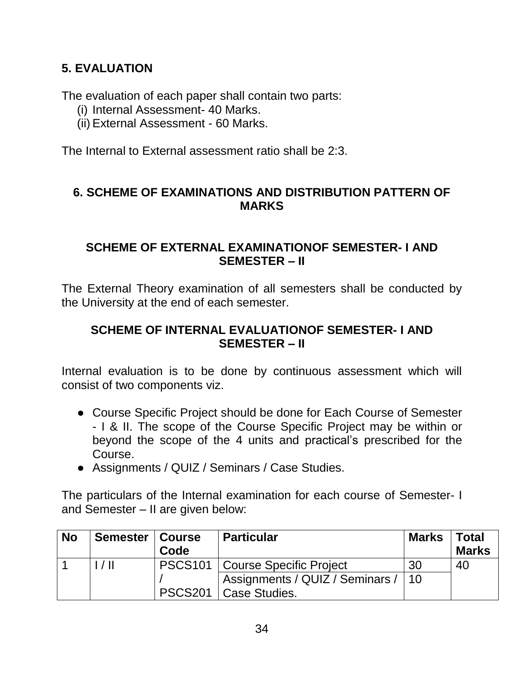# **5. EVALUATION**

The evaluation of each paper shall contain two parts:

- (i) Internal Assessment- 40 Marks.
- (ii) External Assessment 60 Marks.

The Internal to External assessment ratio shall be 2:3.

## **6. SCHEME OF EXAMINATIONS AND DISTRIBUTION PATTERN OF MARKS**

#### **SCHEME OF EXTERNAL EXAMINATIONOF SEMESTER- I AND SEMESTER – II**

The External Theory examination of all semesters shall be conducted by the University at the end of each semester.

#### **SCHEME OF INTERNAL EVALUATIONOF SEMESTER- I AND SEMESTER – II**

Internal evaluation is to be done by continuous assessment which will consist of two components viz.

- Course Specific Project should be done for Each Course of Semester - I & II. The scope of the Course Specific Project may be within or beyond the scope of the 4 units and practical's prescribed for the Course.
- Assignments / QUIZ / Seminars / Case Studies.

The particulars of the Internal examination for each course of Semester- I and Semester – II are given below:

| <b>No</b> | Semester   Course | Code           | <b>Particular</b>                 | <b>Marks</b> | <b>Total</b><br><b>Marks</b> |
|-----------|-------------------|----------------|-----------------------------------|--------------|------------------------------|
|           | $/ \,$ II         |                | PSCS101   Course Specific Project | -30          | 40                           |
|           |                   |                | Assignments / QUIZ / Seminars /   | $\vert$ 10   |                              |
|           |                   | <b>PSCS201</b> | Case Studies.                     |              |                              |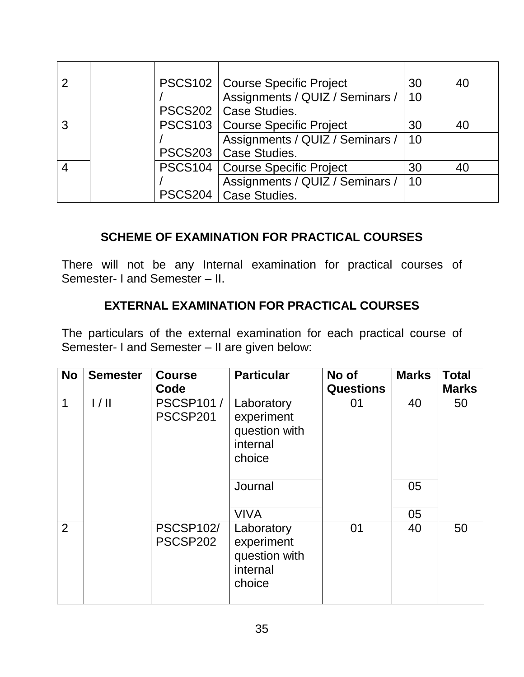| $\mathcal{P}$ |  | PSCS102   Course Specific Project | 30 | 40 |
|---------------|--|-----------------------------------|----|----|
|               |  | Assignments / QUIZ / Seminars /   | 10 |    |
|               |  | PSCS202   Case Studies.           |    |    |
| 3             |  | PSCS103   Course Specific Project | 30 | 40 |
|               |  | Assignments / QUIZ / Seminars /   | 10 |    |
|               |  | PSCS203   Case Studies.           |    |    |
|               |  | PSCS104   Course Specific Project | 30 | 40 |
|               |  | Assignments / QUIZ / Seminars /   | 10 |    |
|               |  | PSCS204   Case Studies.           |    |    |

# **SCHEME OF EXAMINATION FOR PRACTICAL COURSES**

There will not be any Internal examination for practical courses of Semester- I and Semester – II.

# **EXTERNAL EXAMINATION FOR PRACTICAL COURSES**

The particulars of the external examination for each practical course of Semester- I and Semester – II are given below:

| <b>No</b>      | <b>Semester</b> | <b>Course</b><br>Code        | <b>Particular</b>                                               | No of<br><b>Questions</b> | <b>Marks</b> | <b>Total</b><br><b>Marks</b> |
|----------------|-----------------|------------------------------|-----------------------------------------------------------------|---------------------------|--------------|------------------------------|
| 1              | 1/11            | <b>PSCSP101/</b><br>PSCSP201 | Laboratory<br>experiment<br>question with<br>internal<br>choice | 01                        | 40           | 50                           |
|                |                 |                              | Journal                                                         |                           | 05           |                              |
|                |                 |                              | <b>VIVA</b>                                                     |                           | 05           |                              |
| $\overline{2}$ |                 | <b>PSCSP102/</b><br>PSCSP202 | Laboratory<br>experiment<br>question with<br>internal<br>choice | 01                        | 40           | 50                           |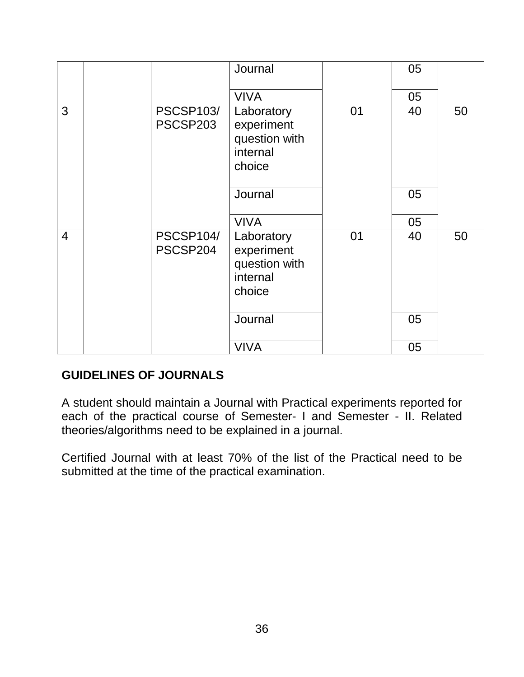|                |                              | Journal                                                         |    | 05 |    |
|----------------|------------------------------|-----------------------------------------------------------------|----|----|----|
|                |                              | <b>VIVA</b>                                                     |    | 05 |    |
| 3              | <b>PSCSP103/</b><br>PSCSP203 | Laboratory<br>experiment<br>question with<br>internal<br>choice | 01 | 40 | 50 |
|                |                              | Journal                                                         |    | 05 |    |
|                |                              | <b>VIVA</b>                                                     |    | 05 |    |
| $\overline{4}$ | <b>PSCSP104/</b><br>PSCSP204 | Laboratory<br>experiment<br>question with<br>internal<br>choice | 01 | 40 | 50 |
|                |                              | Journal                                                         |    | 05 |    |
|                |                              | <b>VIVA</b>                                                     |    | 05 |    |

#### **GUIDELINES OF JOURNALS**

A student should maintain a Journal with Practical experiments reported for each of the practical course of Semester- I and Semester - II. Related theories/algorithms need to be explained in a journal.

Certified Journal with at least 70% of the list of the Practical need to be submitted at the time of the practical examination.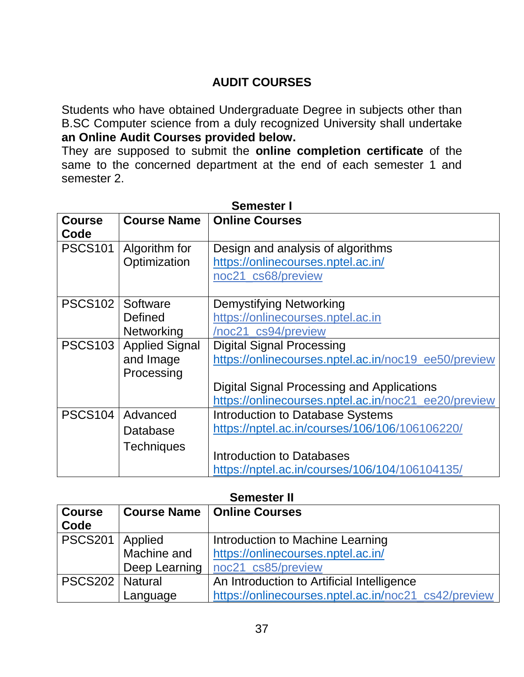# **AUDIT COURSES**

Students who have obtained Undergraduate Degree in subjects other than B.SC Computer science from a duly recognized University shall undertake **an Online Audit Courses provided below.** 

They are supposed to submit the **online completion certificate** of the same to the concerned department at the end of each semester 1 and semester 2.

| <b>Course</b>  | <b>Course Name</b>       | <b>Online Courses</b>                                |
|----------------|--------------------------|------------------------------------------------------|
| Code           |                          |                                                      |
| <b>PSCS101</b> | Algorithm for            | Design and analysis of algorithms                    |
|                | Optimization             | https://onlinecourses.nptel.ac.in/                   |
|                |                          | noc21_cs68/preview                                   |
|                |                          |                                                      |
| <b>PSCS102</b> | Software                 | <b>Demystifying Networking</b>                       |
|                | Defined                  | https://onlinecourses.nptel.ac.in                    |
|                | Networking               | /noc21_cs94/preview                                  |
|                | PSCS103   Applied Signal | <b>Digital Signal Processing</b>                     |
|                | and Image                | https://onlinecourses.nptel.ac.in/noc19 ee50/preview |
|                | Processing               |                                                      |
|                |                          | Digital Signal Processing and Applications           |
|                |                          | https://onlinecourses.nptel.ac.in/noc21_ee20/preview |
| <b>PSCS104</b> | Advanced                 | <b>Introduction to Database Systems</b>              |
|                | Database                 | https://nptel.ac.in/courses/106/106/106106220/       |
|                | <b>Techniques</b>        |                                                      |
|                |                          | Introduction to Databases                            |
|                |                          | https://nptel.ac.in/courses/106/104/106104135/       |

#### **Semester I**

#### **Semester II**

| <b>Course</b>     |               | <b>Course Name   Online Courses</b>                  |  |
|-------------------|---------------|------------------------------------------------------|--|
| Code              |               |                                                      |  |
|                   |               |                                                      |  |
| <b>PSCS201</b>    | Applied       | Introduction to Machine Learning                     |  |
|                   | Machine and   | https://onlinecourses.nptel.ac.in/                   |  |
|                   | Deep Learning | noc21_cs85/preview                                   |  |
| PSCS202   Natural |               | An Introduction to Artificial Intelligence           |  |
|                   | Language      | https://onlinecourses.nptel.ac.in/noc21_cs42/preview |  |